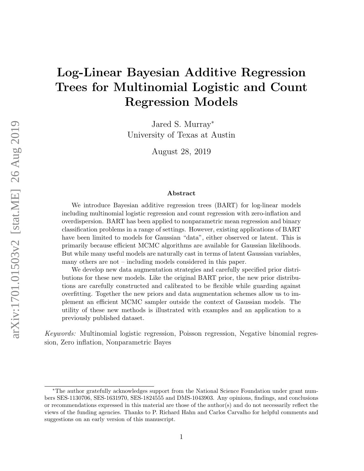# Log-Linear Bayesian Additive Regression Trees for Multinomial Logistic and Count Regression Models

Jared S. Murray<sup>∗</sup> University of Texas at Austin

August 28, 2019

#### Abstract

We introduce Bayesian additive regression trees (BART) for log-linear models including multinomial logistic regression and count regression with zero-inflation and overdispersion. BART has been applied to nonparametric mean regression and binary classification problems in a range of settings. However, existing applications of BART have been limited to models for Gaussian "data", either observed or latent. This is primarily because efficient MCMC algorithms are available for Gaussian likelihoods. But while many useful models are naturally cast in terms of latent Gaussian variables, many others are not – including models considered in this paper.

We develop new data augmentation strategies and carefully specified prior distributions for these new models. Like the original BART prior, the new prior distributions are carefully constructed and calibrated to be flexible while guarding against overfitting. Together the new priors and data augmentation schemes allow us to implement an efficient MCMC sampler outside the context of Gaussian models. The utility of these new methods is illustrated with examples and an application to a previously published dataset.

Keywords: Multinomial logistic regression, Poisson regression, Negative binomial regression, Zero inflation, Nonparametric Bayes

<sup>∗</sup>The author gratefully acknowledges support from the National Science Foundation under grant numbers SES-1130706, SES-1631970, SES-1824555 and DMS-1043903. Any opinions, findings, and conclusions or recommendations expressed in this material are those of the author(s) and do not necessarily reflect the views of the funding agencies. Thanks to P. Richard Hahn and Carlos Carvalho for helpful comments and suggestions on an early version of this manuscript.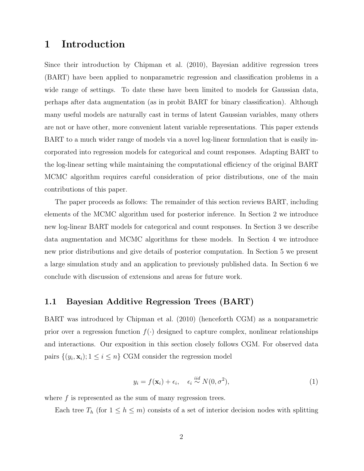### 1 Introduction

Since their introduction by Chipman et al. (2010), Bayesian additive regression trees (BART) have been applied to nonparametric regression and classification problems in a wide range of settings. To date these have been limited to models for Gaussian data, perhaps after data augmentation (as in probit BART for binary classification). Although many useful models are naturally cast in terms of latent Gaussian variables, many others are not or have other, more convenient latent variable representations. This paper extends BART to a much wider range of models via a novel log-linear formulation that is easily incorporated into regression models for categorical and count responses. Adapting BART to the log-linear setting while maintaining the computational efficiency of the original BART MCMC algorithm requires careful consideration of prior distributions, one of the main contributions of this paper.

The paper proceeds as follows: The remainder of this section reviews BART, including elements of the MCMC algorithm used for posterior inference. In Section 2 we introduce new log-linear BART models for categorical and count responses. In Section 3 we describe data augmentation and MCMC algorithms for these models. In Section 4 we introduce new prior distributions and give details of posterior computation. In Section 5 we present a large simulation study and an application to previously published data. In Section 6 we conclude with discussion of extensions and areas for future work.

#### 1.1 Bayesian Additive Regression Trees (BART)

BART was introduced by Chipman et al. (2010) (henceforth CGM) as a nonparametric prior over a regression function  $f(\cdot)$  designed to capture complex, nonlinear relationships and interactions. Our exposition in this section closely follows CGM. For observed data pairs  $\{(y_i, \mathbf{x}_i); 1 \le i \le n\}$  CGM consider the regression model

$$
y_i = f(\mathbf{x}_i) + \epsilon_i, \quad \epsilon_i \stackrel{iid}{\sim} N(0, \sigma^2), \tag{1}
$$

where  $f$  is represented as the sum of many regression trees.

Each tree  $T_h$  (for  $1 \leq h \leq m$ ) consists of a set of interior decision nodes with splitting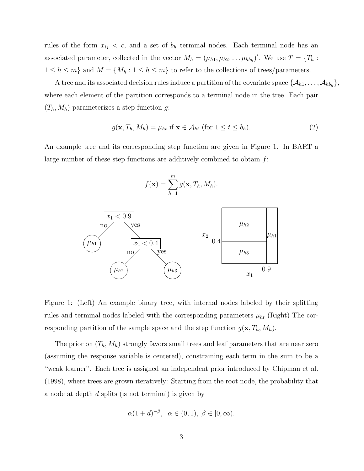rules of the form  $x_{ij} < c$ , and a set of  $b_h$  terminal nodes. Each terminal node has an associated parameter, collected in the vector  $M_h = (\mu_{h1}, \mu_{h2}, \dots, \mu_{hh})'$ . We use  $T = \{T_h :$  $1 \leq h \leq m$ } and  $M = \{M_h : 1 \leq h \leq m\}$  to refer to the collections of trees/parameters.

A tree and its associated decision rules induce a partition of the covariate space  $\{\mathcal{A}_{h1}, \ldots, \mathcal{A}_{hb_h}\},$ where each element of the partition corresponds to a terminal node in the tree. Each pair  $(T_h, M_h)$  parameterizes a step function g:

$$
g(\mathbf{x}, T_h, M_h) = \mu_{ht} \text{ if } \mathbf{x} \in \mathcal{A}_{ht} \text{ (for } 1 \le t \le b_h). \tag{2}
$$

An example tree and its corresponding step function are given in Figure 1. In BART a large number of these step functions are additively combined to obtain  $f$ :

$$
f(\mathbf{x}) = \sum_{h=1}^{m} g(\mathbf{x}, T_h, M_h).
$$



Figure 1: (Left) An example binary tree, with internal nodes labeled by their splitting rules and terminal nodes labeled with the corresponding parameters  $\mu_{ht}$  (Right) The corresponding partition of the sample space and the step function  $g(\mathbf{x}, T_h, M_h)$ .

The prior on  $(T_h, M_h)$  strongly favors small trees and leaf parameters that are near zero (assuming the response variable is centered), constraining each term in the sum to be a "weak learner". Each tree is assigned an independent prior introduced by Chipman et al. (1998), where trees are grown iteratively: Starting from the root node, the probability that a node at depth d splits (is not terminal) is given by

$$
\alpha(1+d)^{-\beta}, \ \alpha \in (0,1), \ \beta \in [0,\infty).
$$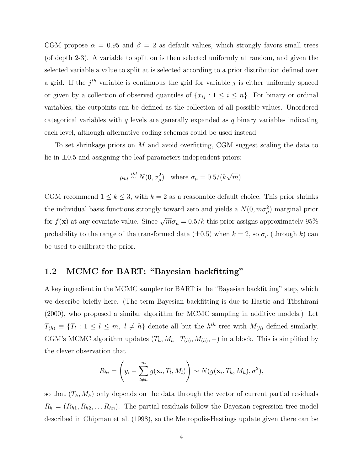CGM propose  $\alpha = 0.95$  and  $\beta = 2$  as default values, which strongly favors small trees (of depth 2-3). A variable to split on is then selected uniformly at random, and given the selected variable a value to split at is selected according to a prior distribution defined over a grid. If the  $j<sup>th</sup>$  variable is continuous the grid for variable j is either uniformly spaced or given by a collection of observed quantiles of  $\{x_{ij} : 1 \le i \le n\}$ . For binary or ordinal variables, the cutpoints can be defined as the collection of all possible values. Unordered categorical variables with q levels are generally expanded as q binary variables indicating each level, although alternative coding schemes could be used instead.

To set shrinkage priors on M and avoid overfitting, CGM suggest scaling the data to lie in  $\pm 0.5$  and assigning the leaf parameters independent priors:

$$
\mu_{ht} \stackrel{iid}{\sim} N(0, \sigma_{\mu}^2)
$$
 where  $\sigma_{\mu} = 0.5/(k\sqrt{m}).$ 

CGM recommend  $1 \leq k \leq 3$ , with  $k = 2$  as a reasonable default choice. This prior shrinks the individual basis functions strongly toward zero and yields a  $N(0, m\sigma_\mu^2)$  marginal prior for  $f(\mathbf{x})$  at any covariate value. Since  $\sqrt{m}\sigma_\mu = 0.5/k$  this prior assigns approximately 95% probability to the range of the transformed data ( $\pm$ 0.5) when  $k = 2$ , so  $\sigma_{\mu}$  (through k) can be used to calibrate the prior.

#### 1.2 MCMC for BART: "Bayesian backfitting"

A key ingredient in the MCMC sampler for BART is the "Bayesian backfitting" step, which we describe briefly here. (The term Bayesian backfitting is due to Hastie and Tibshirani (2000), who proposed a similar algorithm for MCMC sampling in additive models.) Let  $T_{(h)} \equiv \{T_l : 1 \leq l \leq m, l \neq h\}$  denote all but the  $h^{th}$  tree with  $M_{(h)}$  defined similarly. CGM's MCMC algorithm updates  $(T_h, M_h | T_{(h)}, M_{(h)}, -)$  in a block. This is simplified by the clever observation that

$$
R_{hi} = \left(y_i - \sum_{l \neq h}^{m} g(\mathbf{x}_i, T_l, M_l)\right) \sim N(g(\mathbf{x}_i, T_h, M_h), \sigma^2),
$$

so that  $(T_h, M_h)$  only depends on the data through the vector of current partial residuals  $R_h = (R_{h1}, R_{h2}, \dots R_{hn}).$  The partial residuals follow the Bayesian regression tree model described in Chipman et al. (1998), so the Metropolis-Hastings update given there can be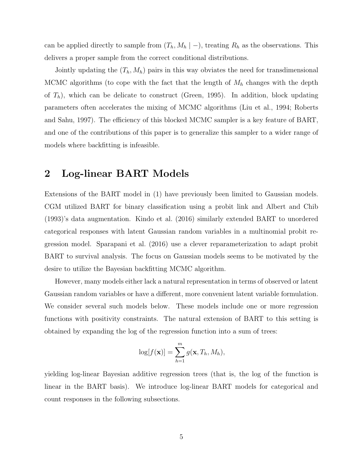can be applied directly to sample from  $(T_h, M_h \mid -)$ , treating  $R_h$  as the observations. This delivers a proper sample from the correct conditional distributions.

Jointly updating the  $(T_h, M_h)$  pairs in this way obviates the need for transdimensional MCMC algorithms (to cope with the fact that the length of  $M_h$  changes with the depth of  $T_h$ ), which can be delicate to construct (Green, 1995). In addition, block updating parameters often accelerates the mixing of MCMC algorithms (Liu et al., 1994; Roberts and Sahu, 1997). The efficiency of this blocked MCMC sampler is a key feature of BART, and one of the contributions of this paper is to generalize this sampler to a wider range of models where backfitting is infeasible.

### 2 Log-linear BART Models

Extensions of the BART model in (1) have previously been limited to Gaussian models. CGM utilized BART for binary classification using a probit link and Albert and Chib (1993)'s data augmentation. Kindo et al. (2016) similarly extended BART to unordered categorical responses with latent Gaussian random variables in a multinomial probit regression model. Sparapani et al. (2016) use a clever reparameterization to adapt probit BART to survival analysis. The focus on Gaussian models seems to be motivated by the desire to utilize the Bayesian backfitting MCMC algorithm.

However, many models either lack a natural representation in terms of observed or latent Gaussian random variables or have a different, more convenient latent variable formulation. We consider several such models below. These models include one or more regression functions with positivity constraints. The natural extension of BART to this setting is obtained by expanding the log of the regression function into a sum of trees:

$$
\log[f(\mathbf{x})] = \sum_{h=1}^{m} g(\mathbf{x}, T_h, M_h),
$$

yielding log-linear Bayesian additive regression trees (that is, the log of the function is linear in the BART basis). We introduce log-linear BART models for categorical and count responses in the following subsections.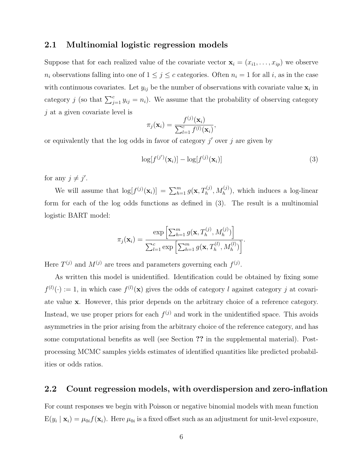#### 2.1 Multinomial logistic regression models

Suppose that for each realized value of the covariate vector  $\mathbf{x}_i = (x_{i1}, \ldots, x_{ip})$  we observe  $n_i$  observations falling into one of  $1 \leq j \leq c$  categories. Often  $n_i = 1$  for all i, as in the case with continuous covariates. Let  $y_{ij}$  be the number of observations with covariate value  $\mathbf{x}_i$  in category j (so that  $\sum_{j=1}^{c} y_{ij} = n_i$ ). We assume that the probability of observing category  $j$  at a given covariate level is

$$
\pi_j(\mathbf{x}_i) = \frac{f^{(j)}(\mathbf{x}_i)}{\sum_{l=1}^c f^{(l)}(\mathbf{x}_i)},
$$

or equivalently that the log odds in favor of category  $j'$  over  $j$  are given by

$$
\log[f^{(j')}(\mathbf{x}_i)] - \log[f^{(j)}(\mathbf{x}_i)] \tag{3}
$$

for any  $j \neq j'$ .

We will assume that  $\log[f^{(j)}(\mathbf{x}_i)] = \sum_{h=1}^m g(\mathbf{x}, T_h^{(j)}, M_h^{(j)})$ , which induces a log-linear form for each of the log odds functions as defined in (3). The result is a multinomial logistic BART model:

$$
\pi_j(\mathbf{x}_i) = \frac{\exp\left[\sum_{h=1}^m g(\mathbf{x}, T_h^{(j)}, M_h^{(j)})\right]}{\sum_{l=1}^c \exp\left[\sum_{h=1}^m g(\mathbf{x}, T_h^{(l)}, M_h^{(l)})\right]}.
$$

Here  $T^{(j)}$  and  $M^{(j)}$  are trees and parameters governing each  $f^{(j)}$ .

As written this model is unidentified. Identification could be obtained by fixing some  $f^{(l)}(\cdot) := 1$ , in which case  $f^{(l)}(\mathbf{x})$  gives the odds of category l against category j at covariate value x. However, this prior depends on the arbitrary choice of a reference category. Instead, we use proper priors for each  $f<sup>(j)</sup>$  and work in the unidentified space. This avoids asymmetries in the prior arising from the arbitrary choice of the reference category, and has some computational benefits as well (see Section ?? in the supplemental material). Postprocessing MCMC samples yields estimates of identified quantities like predicted probabilities or odds ratios.

#### 2.2 Count regression models, with overdispersion and zero-inflation

For count responses we begin with Poisson or negative binomial models with mean function  $E(y_i | \mathbf{x}_i) = \mu_{0i} f(\mathbf{x}_i)$ . Here  $\mu_{0i}$  is a fixed offset such as an adjustment for unit-level exposure,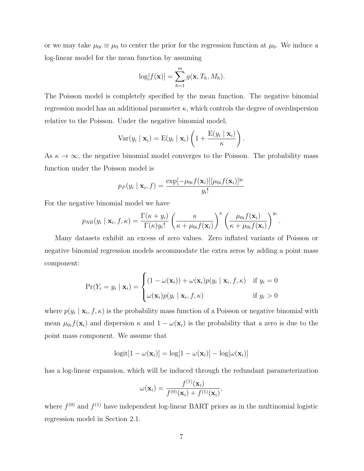or we may take  $\mu_{0i} \equiv \mu_0$  to center the prior for the regression function at  $\mu_0$ . We induce a log-linear model for the mean function by assuming

$$
\log[f(\mathbf{x})] = \sum_{h=1}^m g(\mathbf{x}, T_h, M_h).
$$

The Poisson model is completely specified by the mean function. The negative binomial regression model has an additional parameter  $\kappa$ , which controls the degree of overdispersion relative to the Poisson. Under the negative binomial model,

$$
\text{Var}(y_i | \mathbf{x}_i) = \text{E}(y_i | \mathbf{x}_i) \left( 1 + \frac{\text{E}(y_i | \mathbf{x}_i)}{\kappa} \right).
$$

As  $\kappa \to \infty$ , the negative binomial model converges to the Poisson. The probability mass function under the Poisson model is

$$
p_P(y_i | \mathbf{x}_i, f) = \frac{\exp[-\mu_{0i}f(\mathbf{x}_i)][\mu_{0i}f(\mathbf{x}_i)]^{y_i}}{y_i!}
$$

For the negative binomial model we have

$$
p_{NB}(y_i \mid \mathbf{x}_i, f, \kappa) = \frac{\Gamma(\kappa + y_i)}{\Gamma(\kappa)y_i!} \left(\frac{\kappa}{\kappa + \mu_{0i}f(\mathbf{x}_i)}\right)^{\kappa} \left(\frac{\mu_{0i}f(\mathbf{x}_i)}{\kappa + \mu_{0i}f(\mathbf{x}_i)}\right)^{y_i}
$$

.

Many datasets exhibit an excess of zero values. Zero inflated variants of Poisson or negative binomial regression models accommodate the extra zeros by adding a point mass component:

$$
\Pr(Y_i = y_i \mid \mathbf{x}_i) = \begin{cases} (1 - \omega(\mathbf{x}_i)) + \omega(\mathbf{x}_i) p(y_i \mid \mathbf{x}_i, f, \kappa) & \text{if } y_i = 0\\ \omega(\mathbf{x}_i) p(y_i \mid \mathbf{x}_i, f, \kappa) & \text{if } y_i > 0 \end{cases}
$$

where  $p(y_i | \mathbf{x}_i, f, \kappa)$  is the probability mass function of a Poisson or negative binomial with mean  $\mu_{0i} f(\mathbf{x}_i)$  and dispersion  $\kappa$  and  $1 - \omega(\mathbf{x}_i)$  is the probability that a zero is due to the point mass component. We assume that

$$
logit[1 - \omega(\mathbf{x}_i)] = log[1 - \omega(\mathbf{x}_i)] - log[\omega(\mathbf{x}_i)]
$$

has a log-linear expansion, which will be induced through the redundant parameterization

$$
\omega(\mathbf{x}_i) = \frac{f^{(1)}(\mathbf{x}_i)}{f^{(0)}(\mathbf{x}_i) + f^{(1)}(\mathbf{x}_i)},
$$

where  $f^{(0)}$  and  $f^{(1)}$  have independent log-linear BART priors as in the multinomial logistic regression model in Section 2.1.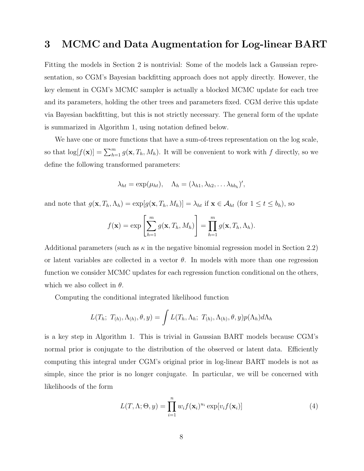## 3 MCMC and Data Augmentation for Log-linear BART

Fitting the models in Section 2 is nontrivial: Some of the models lack a Gaussian representation, so CGM's Bayesian backfitting approach does not apply directly. However, the key element in CGM's MCMC sampler is actually a blocked MCMC update for each tree and its parameters, holding the other trees and parameters fixed. CGM derive this update via Bayesian backfitting, but this is not strictly necessary. The general form of the update is summarized in Algorithm 1, using notation defined below.

We have one or more functions that have a sum-of-trees representation on the log scale, so that  $\log[f(\mathbf{x})] = \sum_{h=1}^{m} g(\mathbf{x}, T_h, M_h)$ . It will be convenient to work with f directly, so we define the following transformed parameters:

$$
\lambda_{ht} = \exp(\mu_{ht}), \quad \Lambda_h = (\lambda_{h1}, \lambda_{h2}, \dots \lambda_{hb_h})',
$$

and note that  $g(\mathbf{x}, T_h, \Lambda_h) = \exp[g(\mathbf{x}, T_h, M_h)] = \lambda_{ht}$  if  $\mathbf{x} \in \mathcal{A}_{ht}$  (for  $1 \le t \le b_h$ ), so

$$
f(\mathbf{x}) = \exp\left[\sum_{h=1}^m g(\mathbf{x}, T_h, M_h)\right] = \prod_{h=1}^m g(\mathbf{x}, T_h, \Lambda_h).
$$

Additional parameters (such as  $\kappa$  in the negative binomial regression model in Section 2.2) or latent variables are collected in a vector  $\theta$ . In models with more than one regression function we consider MCMC updates for each regression function conditional on the others, which we also collect in  $\theta$ .

Computing the conditional integrated likelihood function

$$
L(T_h; T_{(h)}, \Lambda_{(h)}, \theta, y) = \int L(T_h, \Lambda_h; T_{(h)}, \Lambda_{(h)}, \theta, y) p(\Lambda_h) d\Lambda_h
$$

is a key step in Algorithm 1. This is trivial in Gaussian BART models because CGM's normal prior is conjugate to the distribution of the observed or latent data. Efficiently computing this integral under CGM's original prior in log-linear BART models is not as simple, since the prior is no longer conjugate. In particular, we will be concerned with likelihoods of the form

$$
L(T, \Lambda; \Theta, y) = \prod_{i=1}^{n} w_i f(\mathbf{x}_i)^{u_i} \exp[v_i f(\mathbf{x}_i)]
$$
\n(4)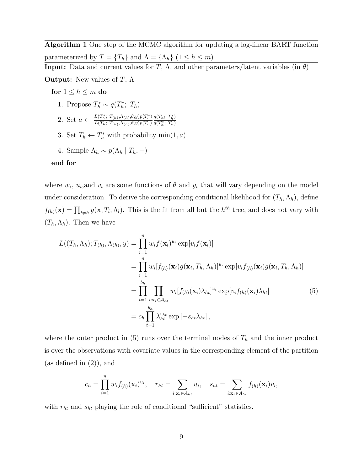Algorithm 1 One step of the MCMC algorithm for updating a log-linear BART function parameterized by  $T = \{T_h\}$  and  $\Lambda = \{\Lambda_h\}$   $(1 \leq h \leq m)$ **Input:** Data and current values for T,  $\Lambda$ , and other parameters/latent variables (in  $\theta$ ) **Output:** New values of  $T$ ,  $\Lambda$ for  $1\leq h\leq m$ do 1. Propose  $T_h^* \sim q(T_h^*; T_h)$ 2. Set  $a \leftarrow \frac{L(T_h^*; T_{(h)}, \Lambda_{(h)}, \theta, y)p(T_h^*)}{L(T_h; T_{(h)}, \Lambda_{(h)}, \theta, y)p(T_h)}$  $L(T_h; T_{(h)}, \Lambda_{(h)}, \theta, y)p(T_h)$  $q(T_h; T_h^*)$  $q(T_h^*; T_h)$ 3. Set  $T_h \leftarrow T_h^*$  with probability min $(1, a)$ 4. Sample  $\Lambda_h \sim p(\Lambda_h | T_h, -)$ 

end for

where  $w_i$ ,  $u_i$ , and  $v_i$  are some functions of  $\theta$  and  $y_i$  that will vary depending on the model under consideration. To derive the corresponding conditional likelihood for  $(T_h, \Lambda_h)$ , define  $f_{(h)}(\mathbf{x}) = \prod_{l \neq h} g(\mathbf{x}, T_l, \Lambda_l)$ . This is the fit from all but the  $h^{th}$  tree, and does not vary with  $(T_h, \Lambda_h)$ . Then we have

$$
L((T_h, \Lambda_h); T_{(h)}, \Lambda_{(h)}, y) = \prod_{i=1}^n w_i f(\mathbf{x}_i)^{u_i} \exp[v_i f(\mathbf{x}_i)]
$$
  
\n
$$
= \prod_{i=1}^n w_i [f_{(h)}(\mathbf{x}_i) g(\mathbf{x}_i, T_h, \Lambda_h)]^{u_i} \exp[v_i f_{(h)}(\mathbf{x}_i) g(\mathbf{x}_i, T_h, \Lambda_h)]
$$
  
\n
$$
= \prod_{t=1}^{b_h} \prod_{i: \mathbf{x}_i \in A_{ht}} w_i [f_{(h)}(\mathbf{x}_i) \lambda_{ht}]^{u_i} \exp[v_i f_{(h)}(\mathbf{x}_i) \lambda_{ht}]
$$
  
\n
$$
= c_h \prod_{t=1}^{b_h} \lambda_{ht}^{r_{ht}} \exp[-s_{ht} \lambda_{ht}], \qquad (5)
$$

where the outer product in (5) runs over the terminal nodes of  $T_h$  and the inner product is over the observations with covariate values in the corresponding element of the partition (as defined in (2)), and

$$
c_h = \prod_{i=1}^n w_i f_{(h)}(\mathbf{x}_i)^{u_i}, \quad r_{ht} = \sum_{i:\mathbf{x}_i \in A_{ht}} u_i, \quad s_{ht} = \sum_{i:\mathbf{x}_i \in A_{ht}} f_{(h)}(\mathbf{x}_i) v_i,
$$

with  $r_{ht}$  and  $s_{ht}$  playing the role of conditional "sufficient" statistics.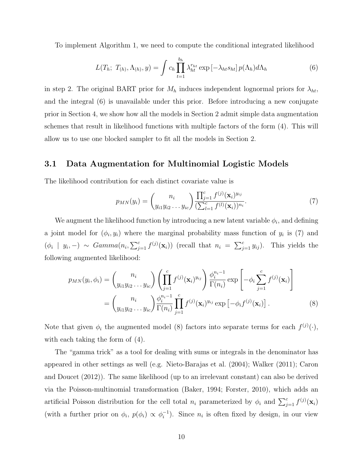To implement Algorithm 1, we need to compute the conditional integrated likelihood

$$
L(T_h; T_{(h)}, \Lambda_{(h)}, y) = \int c_h \prod_{t=1}^{b_h} \lambda_{ht}^{r_{ht}} \exp\left[-\lambda_{ht} s_{ht}\right] p(\Lambda_h) d\Lambda_h \tag{6}
$$

in step 2. The original BART prior for  $M_h$  induces independent lognormal priors for  $\lambda_{ht}$ , and the integral (6) is unavailable under this prior. Before introducing a new conjugate prior in Section 4, we show how all the models in Section 2 admit simple data augmentation schemes that result in likelihood functions with multiple factors of the form (4). This will allow us to use one blocked sampler to fit all the models in Section 2.

#### 3.1 Data Augmentation for Multinomial Logistic Models

The likelihood contribution for each distinct covariate value is

$$
p_{MN}(y_i) = {n_i \choose y_{i1}y_{i2} \ldots y_{ic}} \frac{\prod_{j=1}^c f^{(j)}(\mathbf{x}_i)^{y_{ij}}}{(\sum_{l=1}^c f^{(l)}(\mathbf{x}_i))^{n_i}}.
$$
(7)

We augment the likelihood function by introducing a new latent variable  $\phi_i$ , and defining a joint model for  $(\phi_i, y_i)$  where the marginal probability mass function of  $y_i$  is (7) and  $(\phi_i \mid y_i, -) \sim \text{Gamma}(n_i, \sum_{j=1}^c f^{(j)}(\mathbf{x}_i))$  (recall that  $n_i = \sum_{j=1}^c y_{ij}$ ). This yields the following augmented likelihood:

$$
p_{MN}(y_i, \phi_i) = {n_i \choose y_{i1} y_{i2} \dots y_{ic}} \left( \prod_{j=1}^c f^{(j)}(\mathbf{x}_i)^{y_{ij}} \right) \frac{\phi_i^{n_i - 1}}{\Gamma(n_i)} \exp\left[ -\phi_i \sum_{j=1}^c f^{(j)}(\mathbf{x}_i) \right]
$$

$$
= {n_i \choose y_{i1} y_{i2} \dots y_{ic}} \frac{\phi_i^{n_i - 1}}{\Gamma(n_i)} \prod_{j=1}^c f^{(j)}(\mathbf{x}_i)^{y_{ij}} \exp\left[ -\phi_i f^{(j)}(\mathbf{x}_i) \right].
$$
(8)

Note that given  $\phi_i$  the augmented model (8) factors into separate terms for each  $f^{(j)}(\cdot)$ , with each taking the form of (4).

The "gamma trick" as a tool for dealing with sums or integrals in the denominator has appeared in other settings as well (e.g. Nieto-Barajas et al. (2004); Walker (2011); Caron and Doucet (2012)). The same likelihood (up to an irrelevant constant) can also be derived via the Poisson-multinomial transformation (Baker, 1994; Forster, 2010), which adds an artificial Poisson distribution for the cell total  $n_i$  parameterized by  $\phi_i$  and  $\sum_{j=1}^c f^{(j)}(\mathbf{x}_i)$ (with a further prior on  $\phi_i$ ,  $p(\phi_i) \propto \phi_i^{-1}$ ). Since  $n_i$  is often fixed by design, in our view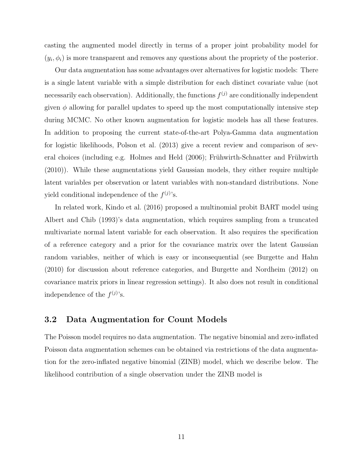casting the augmented model directly in terms of a proper joint probability model for  $(y_i, \phi_i)$  is more transparent and removes any questions about the propriety of the posterior.

Our data augmentation has some advantages over alternatives for logistic models: There is a single latent variable with a simple distribution for each distinct covariate value (not necessarily each observation). Additionally, the functions  $f^{(j)}$  are conditionally independent given  $\phi$  allowing for parallel updates to speed up the most computationally intensive step during MCMC. No other known augmentation for logistic models has all these features. In addition to proposing the current state-of-the-art Polya-Gamma data augmentation for logistic likelihoods, Polson et al. (2013) give a recent review and comparison of several choices (including e.g. Holmes and Held  $(2006)$ ; Frühwirth-Schnatter and Frühwirth (2010)). While these augmentations yield Gaussian models, they either require multiple latent variables per observation or latent variables with non-standard distributions. None yield conditional independence of the  $f^{(j)}$ 's.

In related work, Kindo et al. (2016) proposed a multinomial probit BART model using Albert and Chib (1993)'s data augmentation, which requires sampling from a truncated multivariate normal latent variable for each observation. It also requires the specification of a reference category and a prior for the covariance matrix over the latent Gaussian random variables, neither of which is easy or inconsequential (see Burgette and Hahn (2010) for discussion about reference categories, and Burgette and Nordheim (2012) on covariance matrix priors in linear regression settings). It also does not result in conditional independence of the  $f^{(j)}$ 's.

#### 3.2 Data Augmentation for Count Models

The Poisson model requires no data augmentation. The negative binomial and zero-inflated Poisson data augmentation schemes can be obtained via restrictions of the data augmentation for the zero-inflated negative binomial (ZINB) model, which we describe below. The likelihood contribution of a single observation under the ZINB model is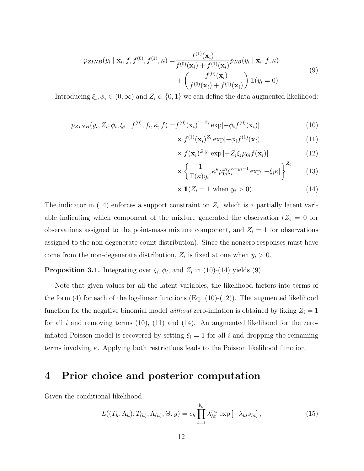$$
p_{ZINB}(y_i \mid \mathbf{x}_i, f, f^{(0)}, f^{(1)}, \kappa) = \frac{f^{(1)}(\mathbf{x}_i)}{f^{(0)}(\mathbf{x}_i) + f^{(1)}(\mathbf{x}_i)} p_{NB}(y_i \mid \mathbf{x}_i, f, \kappa)
$$
  
+ 
$$
\left(\frac{f^{(0)}(\mathbf{x}_i)}{f^{(0)}(\mathbf{x}_i) + f^{(1)}(\mathbf{x}_i)}\right) \mathbb{1}(y_i = 0)
$$
(9)

Introducing  $\xi_i, \phi_i \in (0, \infty)$  and  $Z_i \in \{0, 1\}$  we can define the data augmented likelihood:

$$
p_{ZINB}(y_i, Z_i, \phi_i, \xi_i \mid f^{(0)}, f_i, \kappa, f) = f^{(0)}(\mathbf{x}_i)^{1-Z_i} \exp[-\phi_i f^{(0)}(\mathbf{x}_i)]
$$
(10)

$$
\times f^{(1)}(\mathbf{x}_i)^{Z_i} \exp[-\phi_i f^{(1)}(\mathbf{x}_i)] \tag{11}
$$

$$
\times f(\mathbf{x}_i)^{Z_i y_i} \exp\left[-Z_i \xi_i \mu_{0i} f(\mathbf{x}_i)\right] \tag{12}
$$

$$
\times \left\{ \frac{1}{\Gamma(\kappa)y_i!} \kappa^{\kappa} \mu_{0i}^{y_i} \xi_i^{\kappa+y_i-1} \exp\left[-\xi_i \kappa\right] \right\}^{Z_i} \tag{13}
$$

$$
\times 1(Z_i = 1 \text{ when } y_i > 0). \tag{14}
$$

The indicator in (14) enforces a support constraint on  $Z_i$ , which is a partially latent variable indicating which component of the mixture generated the observation ( $Z_i = 0$  for observations assigned to the point-mass mixture component, and  $Z_i = 1$  for observations assigned to the non-degenerate count distribution). Since the nonzero responses must have come from the non-degenerate distribution,  $Z_i$  is fixed at one when  $y_i > 0$ .

**Proposition 3.1.** Integrating over  $\xi_i, \phi_i$ , and  $Z_i$  in (10)-(14) yields (9).

Note that given values for all the latent variables, the likelihood factors into terms of the form  $(4)$  for each of the log-linear functions  $(Eq. (10)-(12))$ . The augmented likelihood function for the negative binomial model without zero-inflation is obtained by fixing  $Z_i = 1$ for all i and removing terms  $(10)$ ,  $(11)$  and  $(14)$ . An augmented likelihood for the zeroinflated Poisson model is recovered by setting  $\xi_i = 1$  for all i and dropping the remaining terms involving  $\kappa$ . Applying both restrictions leads to the Poisson likelihood function.

### 4 Prior choice and posterior computation

Given the conditional likelihood

$$
L((T_h, \Lambda_h); T_{(h)}, \Lambda_{(h)}, \Theta, y) = c_h \prod_{t=1}^{b_h} \lambda_{ht}^{r_{ht}} \exp\left[-\lambda_{ht} s_{ht}\right],
$$
\n(15)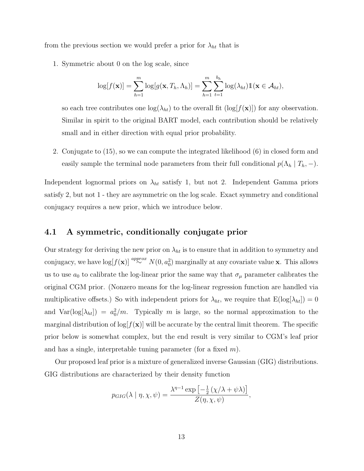from the previous section we would prefer a prior for  $\lambda_{ht}$  that is

1. Symmetric about 0 on the log scale, since

$$
\log[f(\mathbf{x})] = \sum_{h=1}^{m} \log[g(\mathbf{x}, T_h, \Lambda_h)] = \sum_{h=1}^{m} \sum_{t=1}^{b_h} \log(\lambda_{ht}) \mathbb{1}(\mathbf{x} \in \mathcal{A}_{ht}),
$$

so each tree contributes one  $log(\lambda_{ht})$  to the overall fit  $(log[f(\mathbf{x})])$  for any observation. Similar in spirit to the original BART model, each contribution should be relatively small and in either direction with equal prior probability.

2. Conjugate to (15), so we can compute the integrated likelihood (6) in closed form and easily sample the terminal node parameters from their full conditional  $p(\Lambda_h | T_h, -)$ .

Independent lognormal priors on  $\lambda_{ht}$  satisfy 1, but not 2. Independent Gamma priors satisfy 2, but not 1 - they are asymmetric on the log scale. Exact symmetry and conditional conjugacy requires a new prior, which we introduce below.

#### 4.1 A symmetric, conditionally conjugate prior

Our strategy for deriving the new prior on  $\lambda_{ht}$  is to ensure that in addition to symmetry and conjugacy, we have  $\log[f(\mathbf{x})] \stackrel{approx}{\sim} N(0, a_0^2)$  marginally at any covariate value x. This allows us to use  $a_0$  to calibrate the log-linear prior the same way that  $\sigma_\mu$  parameter calibrates the original CGM prior. (Nonzero means for the log-linear regression function are handled via multiplicative offsets.) So with independent priors for  $\lambda_{ht}$ , we require that  $E(log[\lambda_{ht}]) = 0$ and  $Var(log[\lambda_{ht}]) = a_0^2/m$ . Typically m is large, so the normal approximation to the marginal distribution of  $\log[f(\mathbf{x})]$  will be accurate by the central limit theorem. The specific prior below is somewhat complex, but the end result is very similar to CGM's leaf prior and has a single, interpretable tuning parameter (for a fixed  $m$ ).

Our proposed leaf prior is a mixture of generalized inverse Gaussian (GIG) distributions. GIG distributions are characterized by their density function

$$
p_{GIG}(\lambda \mid \eta, \chi, \psi) = \frac{\lambda^{\eta - 1} \exp \left[ -\frac{1}{2} \left( \chi / \lambda + \psi \lambda \right) \right]}{Z(\eta, \chi, \psi)},
$$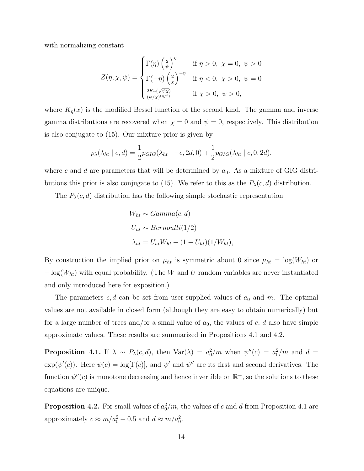with normalizing constant

$$
Z(\eta, \chi, \psi) = \begin{cases} \Gamma(\eta) \left(\frac{2}{\psi}\right)^{\eta} & \text{if } \eta > 0, \ \chi = 0, \ \psi > 0 \\ \Gamma(-\eta) \left(\frac{2}{\chi}\right)^{-\eta} & \text{if } \eta < 0, \ \chi > 0, \ \psi = 0 \\ \frac{2K_{\eta}(\sqrt{\psi\chi})}{(\psi/\chi)^{(\eta/2})} & \text{if } \chi > 0, \ \psi > 0, \end{cases}
$$

where  $K_{\eta}(x)$  is the modified Bessel function of the second kind. The gamma and inverse gamma distributions are recovered when  $\chi = 0$  and  $\psi = 0$ , respectively. This distribution is also conjugate to (15). Our mixture prior is given by

$$
p_{\lambda}(\lambda_{ht} \mid c, d) = \frac{1}{2} p_{GIG}(\lambda_{ht} \mid -c, 2d, 0) + \frac{1}{2} p_{GIG}(\lambda_{ht} \mid c, 0, 2d).
$$

where c and d are parameters that will be determined by  $a_0$ . As a mixture of GIG distributions this prior is also conjugate to (15). We refer to this as the  $P_{\lambda}(c, d)$  distribution.

The  $P_{\lambda}(c, d)$  distribution has the following simple stochastic representation:

$$
W_{ht} \sim Gamma(c, d)
$$
  
\n
$$
U_{ht} \sim Bernoulli(1/2)
$$
  
\n
$$
\lambda_{ht} = U_{ht}W_{ht} + (1 - U_{ht})(1/W_{ht}),
$$

By construction the implied prior on  $\mu_{ht}$  is symmetric about 0 since  $\mu_{ht} = \log(W_{ht})$  or  $-\log(W_{ht})$  with equal probability. (The W and U random variables are never instantiated and only introduced here for exposition.)

The parameters  $c, d$  can be set from user-supplied values of  $a_0$  and m. The optimal values are not available in closed form (although they are easy to obtain numerically) but for a large number of trees and/or a small value of  $a_0$ , the values of c, d also have simple approximate values. These results are summarized in Propositions 4.1 and 4.2.

**Proposition 4.1.** If  $\lambda \sim P_{\lambda}(c, d)$ , then  $\text{Var}(\lambda) = a_0^2/m$  when  $\psi''(c) = a_0^2/m$  and  $d =$  $\exp(\psi'(c))$ . Here  $\psi(c) = \log[\Gamma(c)]$ , and  $\psi'$  and  $\psi''$  are its first and second derivatives. The function  $\psi''(c)$  is monotone decreasing and hence invertible on  $\mathbb{R}^+$ , so the solutions to these equations are unique.

**Proposition 4.2.** For small values of  $a_0^2/m$ , the values of c and d from Proposition 4.1 are approximately  $c \approx m/a_0^2 + 0.5$  and  $d \approx m/a_0^2$ .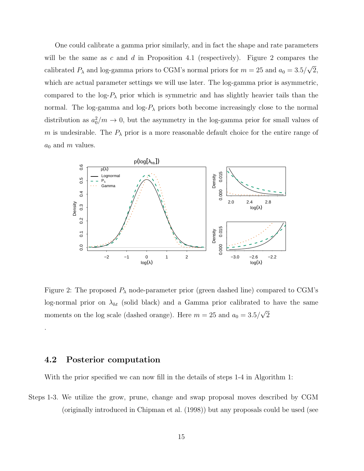One could calibrate a gamma prior similarly, and in fact the shape and rate parameters will be the same as  $c$  and  $d$  in Proposition 4.1 (respectively). Figure 2 compares the calibrated  $P_{\lambda}$  and log-gamma priors to CGM's normal priors for  $m = 25$  and  $a_0 = 3.5/\sqrt{2}$ , which are actual parameter settings we will use later. The log-gamma prior is asymmetric, compared to the log- $P_{\lambda}$  prior which is symmetric and has slightly heavier tails than the normal. The log-gamma and log- $P_{\lambda}$  priors both become increasingly close to the normal distribution as  $a_0^2/m \to 0$ , but the asymmetry in the log-gamma prior for small values of m is undesirable. The  $P_{\lambda}$  prior is a more reasonable default choice for the entire range of  $a_0$  and m values.



Figure 2: The proposed  $P_{\lambda}$  node-parameter prior (green dashed line) compared to CGM's log-normal prior on  $\lambda_{ht}$  (solid black) and a Gamma prior calibrated to have the same moments on the log scale (dashed orange). Here  $m = 25$  and  $a_0 = 3.5/\sqrt{2}$ 

#### 4.2 Posterior computation

.

With the prior specified we can now fill in the details of steps 1-4 in Algorithm 1:

Steps 1-3. We utilize the grow, prune, change and swap proposal moves described by CGM (originally introduced in Chipman et al. (1998)) but any proposals could be used (see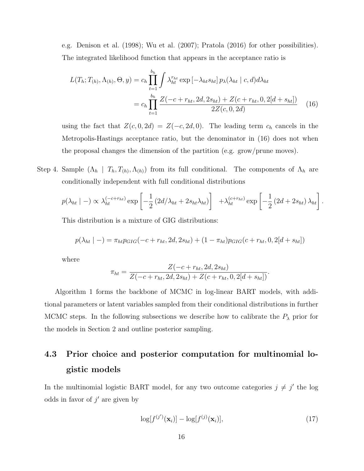e.g. Denison et al. (1998); Wu et al. (2007); Pratola (2016) for other possibilities). The integrated likelihood function that appears in the acceptance ratio is

$$
L(T_h; T_{(h)}, \Lambda_{(h)}, \Theta, y) = c_h \prod_{t=1}^{b_h} \int \lambda_{ht}^{r_{ht}} \exp\left[-\lambda_{ht} s_{ht}\right] p_{\lambda}(\lambda_{ht} \mid c, d) d\lambda_{ht}
$$

$$
= c_h \prod_{t=1}^{b_h} \frac{Z(-c + r_{ht}, 2d, 2s_{ht}) + Z(c + r_{ht}, 0, 2[d + s_{ht}])}{2Z(c, 0, 2d)} \tag{16}
$$

using the fact that  $Z(c, 0, 2d) = Z(-c, 2d, 0)$ . The leading term  $c_h$  cancels in the Metropolis-Hastings acceptance ratio, but the denominator in (16) does not when the proposal changes the dimension of the partition (e.g. grow/prune moves).

Step 4. Sample  $(\Lambda_h \mid T_h, T_{(h)}, \Lambda_{(h)})$  from its full conditional. The components of  $\Lambda_h$  are conditionally independent with full conditional distributions

$$
p(\lambda_{ht} \mid -) \propto \lambda_{ht}^{(-c+ r_{ht})} \exp \left[ -\frac{1}{2} \left( 2d/\lambda_{ht} + 2s_{ht}\lambda_{ht} \right) \right] + \lambda_{ht}^{(c+r_{ht})} \exp \left[ -\frac{1}{2} \left( 2d + 2s_{ht} \right) \lambda_{ht} \right].
$$

This distribution is a mixture of GIG distributions:

$$
p(\lambda_{ht} \mid -) = \pi_{ht} p_{GIG}(-c + r_{ht}, 2d, 2s_{ht}) + (1 - \pi_{ht}) p_{GIG}(c + r_{ht}, 0, 2[d + s_{ht}])
$$

where

$$
\pi_{ht} = \frac{Z(-c + r_{ht}, 2d, 2s_{ht})}{Z(-c + r_{ht}, 2d, 2s_{ht}) + Z(c + r_{ht}, 0, 2[d + s_{ht}])}.
$$

Algorithm 1 forms the backbone of MCMC in log-linear BART models, with additional parameters or latent variables sampled from their conditional distributions in further MCMC steps. In the following subsections we describe how to calibrate the  $P_{\lambda}$  prior for the models in Section 2 and outline posterior sampling.

# 4.3 Prior choice and posterior computation for multinomial logistic models

In the multinomial logistic BART model, for any two outcome categories  $j \neq j'$  the log odds in favor of  $j'$  are given by

$$
\log[f^{(j')}(\mathbf{x}_i)] - \log[f^{(j)}(\mathbf{x}_i)],\tag{17}
$$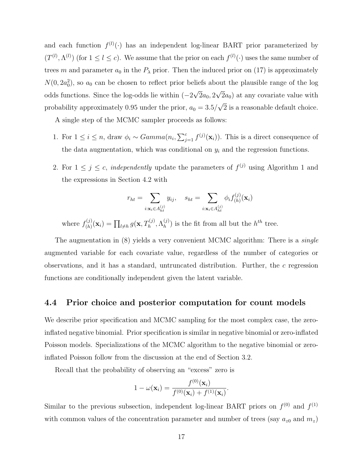and each function  $f^{(l)}(\cdot)$  has an independent log-linear BART prior parameterized by  $(T^{(l)}, \Lambda^{(l)})$  (for  $1 \leq l \leq c$ ). We assume that the prior on each  $f^{(l)}(\cdot)$  uses the same number of trees m and parameter  $a_0$  in the  $P_\lambda$  prior. Then the induced prior on (17) is approximately  $N(0, 2a_0^2)$ , so  $a_0$  can be chosen to reflect prior beliefs about the plausible range of the log odds functions. Since the log-odds lie within  $(-2\sqrt{2}a_0, 2\sqrt{2}a_0)$  at any covariate value with probability approximately 0.95 under the prior,  $a_0 = 3.5/\sqrt{2}$  is a reasonable default choice.

A single step of the MCMC sampler proceeds as follows:

- 1. For  $1 \leq i \leq n$ , draw  $\phi_i \sim Gamma(n_i, \sum_{j=1}^c f^{(j)}(\mathbf{x}_i))$ . This is a direct consequence of the data augmentation, which was conditional on  $y_i$  and the regression functions.
- 2. For  $1 \leq j \leq c$ , *independently* update the parameters of  $f^{(j)}$  using Algorithm 1 and the expressions in Section 4.2 with

$$
r_{ht} = \sum_{i: \mathbf{x}_i \in A_{ht}^{(j)}} y_{ij}, \quad s_{ht} = \sum_{i: \mathbf{x}_i \in A_{ht}^{(j)}} \phi_i f_{(h)}^{(j)}(\mathbf{x}_i)
$$

where  $f_{(h)}^{(j)}$  $\Gamma_{(h)}^{(j)}(\mathbf{x}_i) = \prod_{l \neq h} g(\mathbf{x}, T_h^{(j)}, \Lambda_h^{(j)})$  $\binom{J}{h}$  is the fit from all but the  $h^{th}$  tree.

The augmentation in (8) yields a very convenient MCMC algorithm: There is a *single* augmented variable for each covariate value, regardless of the number of categories or observations, and it has a standard, untruncated distribution. Further, the c regression functions are conditionally independent given the latent variable.

#### 4.4 Prior choice and posterior computation for count models

We describe prior specification and MCMC sampling for the most complex case, the zeroinflated negative binomial. Prior specification is similar in negative binomial or zero-inflated Poisson models. Specializations of the MCMC algorithm to the negative binomial or zeroinflated Poisson follow from the discussion at the end of Section 3.2.

Recall that the probability of observing an "excess" zero is

$$
1 - \omega(\mathbf{x}_i) = \frac{f^{(0)}(\mathbf{x}_i)}{f^{(0)}(\mathbf{x}_i) + f^{(1)}(\mathbf{x}_i)}.
$$

Similar to the previous subsection, independent log-linear BART priors on  $f^{(0)}$  and  $f^{(1)}$ with common values of the concentration parameter and number of trees (say  $a_{z0}$  and  $m_z$ )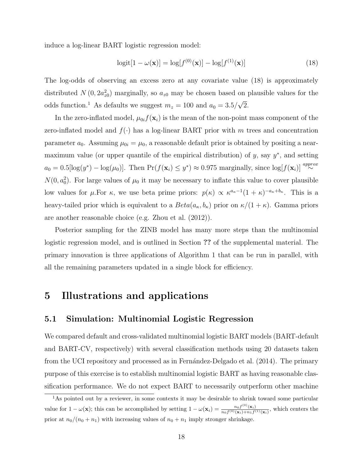induce a log-linear BART logistic regression model:

$$
logit[1 - \omega(\mathbf{x})] = log[f^{(0)}(\mathbf{x})] - log[f^{(1)}(\mathbf{x})]
$$
\n(18)

The log-odds of observing an excess zero at any covariate value (18) is approximately distributed  $N(0, 2a_{z0}^2)$  marginally, so  $a_{z0}$  may be chosen based on plausible values for the odds function.<sup>1</sup> As defaults we suggest  $m_z = 100$  and  $a_0 = 3.5/\sqrt{2}$ .

In the zero-inflated model,  $\mu_{0i} f(\mathbf{x}_i)$  is the mean of the non-point mass component of the zero-inflated model and  $f(\cdot)$  has a log-linear BART prior with m trees and concentration parameter  $a_0$ . Assuming  $\mu_{0i} = \mu_0$ , a reasonable default prior is obtained by positing a nearmaximum value (or upper quantile of the empirical distribution) of  $y$ , say  $y^*$ , and setting  $a_0 = 0.5[\log(y^*) - \log(\mu_0)].$  Then  $\Pr(f(\mathbf{x}_i) \leq y^*) \approx 0.975$  marginally, since  $\log(f(\mathbf{x}_i)) \stackrel{approx}{\sim}$  $N(0, a_0^2)$ . For large values of  $\mu_0$  it may be necessary to inflate this value to cover plausible low values for  $\mu$ . For  $\kappa$ , we use beta prime priors:  $p(\kappa) \propto \kappa^{a_{\kappa}-1}(1+\kappa)^{-a_{\kappa}+b_{\kappa}}$ . This is a heavy-tailed prior which is equivalent to a  $Beta(a_{\kappa}, b_{\kappa})$  prior on  $\kappa/(1+\kappa)$ . Gamma priors are another reasonable choice (e.g. Zhou et al. (2012)).

Posterior sampling for the ZINB model has many more steps than the multinomial logistic regression model, and is outlined in Section ?? of the supplemental material. The primary innovation is three applications of Algorithm 1 that can be run in parallel, with all the remaining parameters updated in a single block for efficiency.

### 5 Illustrations and applications

#### 5.1 Simulation: Multinomial Logistic Regression

We compared default and cross-validated multinomial logistic BART models (BART-default and BART-CV, respectively) with several classification methods using 20 datasets taken from the UCI repository and processed as in Fernández-Delgado et al. (2014). The primary purpose of this exercise is to establish multinomial logistic BART as having reasonable classification performance. We do not expect BART to necessarily outperform other machine

<sup>&</sup>lt;sup>1</sup>As pointed out by a reviewer, in some contexts it may be desirable to shrink toward some particular value for  $1 - \omega(\mathbf{x})$ ; this can be accomplished by setting  $1 - \omega(\mathbf{x}_i) = \frac{n_0 f^{(0)}(\mathbf{x}_i)}{n_0 f^{(0)}(\mathbf{x}_i) + n_1 f^{(0)}}$  $\frac{n_0 f^{(0)}(\mathbf{x}_i)}{n_0 f^{(0)}(\mathbf{x}_i)+n_1 f^{(1)}(\mathbf{x}_i)}$ , which centers the prior at  $n_0/(n_0 + n_1)$  with increasing values of  $n_0 + n_1$  imply stronger shrinkage.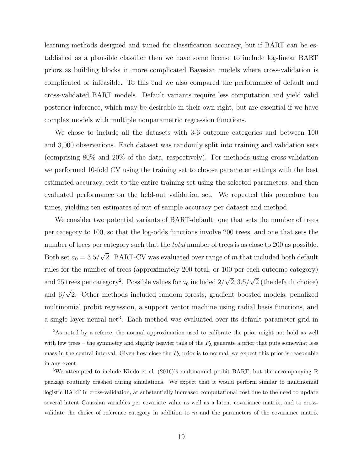learning methods designed and tuned for classification accuracy, but if BART can be established as a plausible classifier then we have some license to include log-linear BART priors as building blocks in more complicated Bayesian models where cross-validation is complicated or infeasible. To this end we also compared the performance of default and cross-validated BART models. Default variants require less computation and yield valid posterior inference, which may be desirable in their own right, but are essential if we have complex models with multiple nonparametric regression functions.

We chose to include all the datasets with 3-6 outcome categories and between 100 and 3,000 observations. Each dataset was randomly split into training and validation sets (comprising 80% and 20% of the data, respectively). For methods using cross-validation we performed 10-fold CV using the training set to choose parameter settings with the best estimated accuracy, refit to the entire training set using the selected parameters, and then evaluated performance on the held-out validation set. We repeated this procedure ten times, yielding ten estimates of out of sample accuracy per dataset and method.

We consider two potential variants of BART-default: one that sets the number of trees per category to 100, so that the log-odds functions involve 200 trees, and one that sets the number of trees per category such that the *total* number of trees is as close to 200 as possible. Both set  $a_0 = 3.5/\sqrt{2}$ . BART-CV was evaluated over range of m that included both default rules for the number of trees (approximately 200 total, or 100 per each outcome category) and 25 trees per category<sup>2</sup>. Possible values for  $a_0$  included  $2/\sqrt{2}$ ,  $3.5/\sqrt{2}$  (the default choice) and  $6/\sqrt{2}$ . Other methods included random forests, gradient boosted models, penalized multinomial probit regression, a support vector machine using radial basis functions, and a single layer neural net<sup>3</sup>. Each method was evaluated over its default parameter grid in

<sup>&</sup>lt;sup>2</sup>As noted by a referee, the normal approximation used to calibrate the prior might not hold as well with few trees – the symmetry and slightly heavier tails of the  $P_{\lambda}$  generate a prior that puts somewhat less mass in the central interval. Given how close the  $P_{\lambda}$  prior is to normal, we expect this prior is reasonable in any event.

<sup>3</sup>We attempted to include Kindo et al. (2016)'s multinomial probit BART, but the accompanying R package routinely crashed during simulations. We expect that it would perform similar to multinomial logistic BART in cross-validation, at substantially increased computational cost due to the need to update several latent Gaussian variables per covariate value as well as a latent covariance matrix, and to crossvalidate the choice of reference category in addition to m and the parameters of the covariance matrix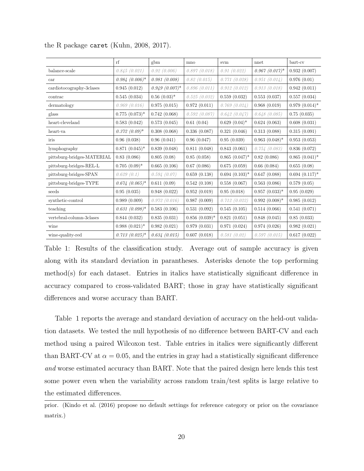|                            | rf                  | gbm              | mno             | $\mathop{\rm svm}\nolimits$ | nnet             | bart-cv           |
|----------------------------|---------------------|------------------|-----------------|-----------------------------|------------------|-------------------|
| balance-scale              | 0.845(0.021)        | 0.92(0.006)      | 0.897(0.018)    | 0.91(0.022)                 | $0.967~(0.017)*$ | 0.932(0.007)      |
| car                        | $0.984(0.006)^*$    | 0.981(0.008)     | 0.82(0.015)     | 0.771(0.028)                | 0.951(0.014)     | 0.976(0.01)       |
| cardiotocography-3clases   | 0.945(0.012)        | $0.949(0.007)^*$ | 0.896(0.011)    | 0.912(0.012)                | 0.913(0.018)     | 0.942(0.011)      |
| contrac                    | 0.545(0.034)        | $0.56(0.03)*$    | 0.525(0.032)    | 0.559(0.032)                | 0.553(0.037)     | 0.557(0.034)      |
| dermatology                | 0.969(0.016)        | 0.975(0.015)     | 0.972(0.011)    | 0.769(0.024)                | 0.968(0.019)     | $0.979~(0.014)^*$ |
| glass                      | $0.775$ $(0.073)*$  | 0.742(0.068)     | 0.592(0.087)    | 0.642(0.047)                | 0.648(0.085)     | 0.75(0.035)       |
| heart-cleveland            | 0.583(0.042)        | 0.573(0.045)     | 0.61(0.04)      | $0.629(0.04)^*$             | 0.624(0.063)     | 0.608(0.031)      |
| heart-va                   | $0.372(0.09)^*$     | 0.308(0.068)     | 0.336(0.087)    | 0.321(0.046)                | 0.313(0.088)     | 0.315(0.091)      |
| iris                       | 0.96(0.038)         | 0.96(0.041)      | 0.96(0.047)     | 0.95(0.039)                 | $0.963~(0.048)*$ | 0.953(0.053)      |
| lymphography               | $0.871~(0.045)*$    | 0.839(0.048)     | 0.811(0.048)    | 0.843(0.061)                | 0.754(0.083)     | 0.836(0.072)      |
| pittsburg-bridges-MATERIAL | 0.83(0.086)         | 0.805(0.08)      | 0.85(0.058)     | $0.865~(0.047)^*$           | 0.82(0.086)      | $0.865(0.041)^*$  |
| pittsburg-bridges-REL-L    | $0.705(0.09)^*$     | 0.665(0.106)     | 0.67(0.086)     | 0.675(0.059)                | 0.66(0.084)      | 0.655(0.08)       |
| pittsburg-bridges-SPAN     | 0.629(0.1)          | 0.594(0.07)      | 0.659(0.138)    | $0.694~(0.103)*$            | 0.647(0.088)     | $0.694~(0.117)*$  |
| pittsburg-bridges-TYPE     | $0.674$ $(0.065)^*$ | 0.611(0.09)      | 0.542(0.108)    | 0.558(0.067)                | 0.563(0.086)     | 0.579(0.05)       |
| seeds                      | 0.95(0.035)         | 0.948(0.022)     | 0.952(0.019)    | 0.95(0.018)                 | $0.957(0.033)*$  | 0.95(0.029)       |
| synthetic-control          | 0.989(0.009)        | 0.972(0.016)     | 0.987(0.009)    | 0.712(0.022)                | $0.992(0.008)$ * | 0.985(0.012)      |
| teaching                   | $0.631~(0.098)*$    | 0.583(0.106)     | 0.531(0.092)    | 0.545(0.105)                | 0.514(0.066)     | 0.541(0.071)      |
| vertebral-column-3clases   | 0.844(0.032)        | 0.835(0.031)     | $0.856(0.039)*$ | 0.821(0.051)                | 0.848(0.045)     | 0.85(0.033)       |
| wine                       | $0.988(0.021)^*$    | 0.982(0.021)     | 0.979(0.031)    | 0.971(0.024)                | 0.974(0.026)     | 0.982(0.021)      |
| wine-quality-red           | $0.713(0.025)^*$    | 0.634(0.015)     | 0.607(0.018)    | 0.581(0.02)                 | 0.597(0.015)     | 0.617(0.022)      |

the R package caret (Kuhn, 2008, 2017).

Table 1: Results of the classification study. Average out of sample accuracy is given along with its standard deviation in parantheses. Asterisks denote the top performing method(s) for each dataset. Entries in italics have statistically significant difference in accuracy compared to cross-validated BART; those in gray have statistically significant differences and worse accuracy than BART.

Table 1 reports the average and standard deviation of accuracy on the held-out validation datasets. We tested the null hypothesis of no difference between BART-CV and each method using a paired Wilcoxon test. Table entries in italics were significantly different than BART-CV at  $\alpha = 0.05$ , and the entries in gray had a statistically significant difference and worse estimated accuracy than BART. Note that the paired design here lends this test some power even when the variability across random train/test splits is large relative to the estimated differences.

prior. (Kindo et al. (2016) propose no default settings for reference category or prior on the covariance matrix.)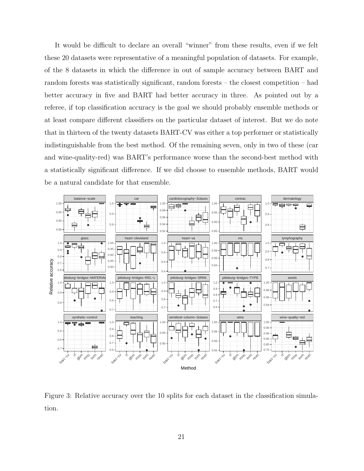It would be difficult to declare an overall "winner" from these results, even if we felt these 20 datasets were representative of a meaningful population of datasets. For example, of the 8 datasets in which the difference in out of sample accuracy between BART and random forests was statistically significant, random forests – the closest competition – had better accuracy in five and BART had better accuracy in three. As pointed out by a referee, if top classification accuracy is the goal we should probably ensemble methods or at least compare different classifiers on the particular dataset of interest. But we do note that in thirteen of the twenty datasets BART-CV was either a top performer or statistically indistinguishable from the best method. Of the remaining seven, only in two of these (car and wine-quality-red) was BART's performance worse than the second-best method with a statistically significant difference. If we did choose to ensemble methods, BART would be a natural candidate for that ensemble.



Figure 3: Relative accuracy over the 10 splits for each dataset in the classification simulation.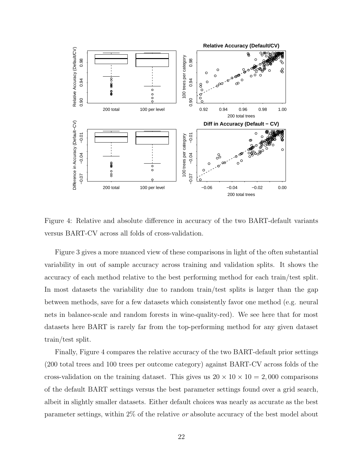

Figure 4: Relative and absolute difference in accuracy of the two BART-default variants versus BART-CV across all folds of cross-validation.

Figure 3 gives a more nuanced view of these comparisons in light of the often substantial variability in out of sample accuracy across training and validation splits. It shows the accuracy of each method relative to the best performing method for each train/test split. In most datasets the variability due to random train/test splits is larger than the gap between methods, save for a few datasets which consistently favor one method (e.g. neural nets in balance-scale and random forests in wine-quality-red). We see here that for most datasets here BART is rarely far from the top-performing method for any given dataset train/test split.

Finally, Figure 4 compares the relative accuracy of the two BART-default prior settings (200 total trees and 100 trees per outcome category) against BART-CV across folds of the cross-validation on the training dataset. This gives us  $20 \times 10 \times 10 = 2,000$  comparisons of the default BART settings versus the best parameter settings found over a grid search, albeit in slightly smaller datasets. Either default choices was nearly as accurate as the best parameter settings, within 2% of the relative or absolute accuracy of the best model about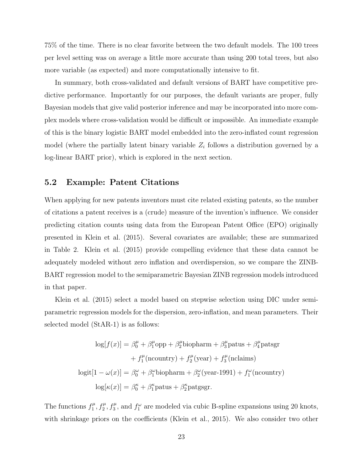75% of the time. There is no clear favorite between the two default models. The 100 trees per level setting was on average a little more accurate than using 200 total trees, but also more variable (as expected) and more computationally intensive to fit.

In summary, both cross-validated and default versions of BART have competitive predictive performance. Importantly for our purposes, the default variants are proper, fully Bayesian models that give valid posterior inference and may be incorporated into more complex models where cross-validation would be difficult or impossible. An immediate example of this is the binary logistic BART model embedded into the zero-inflated count regression model (where the partially latent binary variable  $Z_i$  follows a distribution governed by a log-linear BART prior), which is explored in the next section.

#### 5.2 Example: Patent Citations

When applying for new patents inventors must cite related existing patents, so the number of citations a patent receives is a (crude) measure of the invention's influence. We consider predicting citation counts using data from the European Patent Office (EPO) originally presented in Klein et al. (2015). Several covariates are available; these are summarized in Table 2. Klein et al. (2015) provide compelling evidence that these data cannot be adequately modeled without zero inflation and overdispersion, so we compare the ZINB-BART regression model to the semiparametric Bayesian ZINB regression models introduced in that paper.

Klein et al. (2015) select a model based on stepwise selection using DIC under semiparametric regression models for the dispersion, zero-inflation, and mean parameters. Their selected model (StAR-1) is as follows:

$$
\log[f(x)] = \beta_0^{\mu} + \beta_1^{\mu} \text{opp} + \beta_2^{\mu} \text{biopharm} + \beta_3^{\mu} \text{patus} + \beta_4^{\mu} \text{patsgr}
$$

$$
+ f_1^{\mu}(\text{ncountry}) + f_2^{\mu}(\text{year}) + f_3^{\mu}(\text{nclains})
$$

$$
\log[f(1 - \omega(x)] = \beta_0^{\omega} + \beta_1^{\omega} \text{biopharm} + \beta_2^{\omega}(\text{year-1991}) + f_1^{\omega}(\text{ncountry})
$$

$$
\log[\kappa(x)] = \beta_0^{\kappa} + \beta_1^{\kappa} \text{patus} + \beta_2^{\kappa} \text{patsgr}.
$$

The functions  $f_1^{\mu}$  $f_1^{\mu}, f_2^{\mu}, f_3^{\mu}$ , and  $f_1^{\omega}$  are modeled via cubic B-spline expansions using 20 knots, with shrinkage priors on the coefficients (Klein et al., 2015). We also consider two other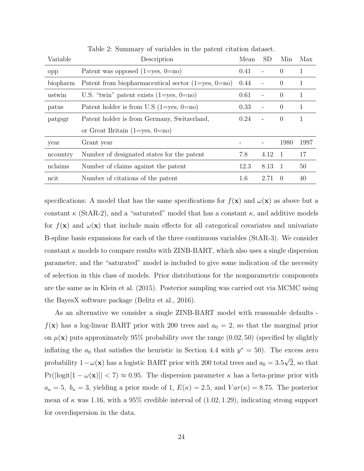| Variable | Description                                              | Mean | <b>SD</b>                | Min              | Max  |
|----------|----------------------------------------------------------|------|--------------------------|------------------|------|
| opp      | Patent was opposed $(1 = yes, 0 = no)$                   | 0.41 | $\overline{\phantom{a}}$ | $\Omega$         | 1    |
| biopharm | Patent from biopharmaceutical sector $(1 = yes, 0 = no)$ | 0.44 |                          | $\Omega$         | 1    |
| ustwin   | U.S. "twin" patent exists $(1 = yes, 0 = no)$            | 0.61 | $\overline{\phantom{a}}$ | $\Omega$         | 1    |
| patus    | Patent holder is from U.S $(1 = yes, 0 = no)$            | 0.33 | $\overline{\phantom{a}}$ | $\Omega$         | 1    |
| patgsgr  | Patent holder is from Germany, Switzerland,              | 0.24 | $\overline{\phantom{a}}$ | $\Omega$         | 1    |
|          | or Great Britain $(1 = yes, 0 = no)$                     |      |                          |                  |      |
| year     | Grant year                                               |      |                          | 1980             | 1997 |
| ncountry | Number of designated states for the patent               | 7.8  | 4.12                     | $\overline{1}$   | 17   |
| nclaims  | Number of claims against the patent                      | 12.3 | 8.13                     |                  | 50   |
| ncit     | Number of citations of the patent                        | 1.6  | 2.71                     | $\left( \right)$ | 40   |

Table 2: Summary of variables in the patent citation dataset.

specifications: A model that has the same specifications for  $f(\mathbf{x})$  and  $\omega(\mathbf{x})$  as above but a constant  $\kappa$  (StAR-2), and a "saturated" model that has a constant  $\kappa$ , and additive models for  $f(\mathbf{x})$  and  $\omega(\mathbf{x})$  that include main effects for all categorical covariates and univariate B-spline basis expansions for each of the three continuous variables (StAR-3). We consider constant  $\kappa$  models to compare results with ZINB-BART, which also uses a single dispersion parameter, and the "saturated" model is included to give some indication of the necessity of selection in this class of models. Prior distributions for the nonparametric components are the same as in Klein et al. (2015). Posterior sampling was carried out via MCMC using the BayesX software package (Belitz et al., 2016).

As an alternative we consider a single ZINB-BART model with reasonable defaults  $f(\mathbf{x})$  has a log-linear BART prior with 200 trees and  $a_0 = 2$ , so that the marginal prior on  $\mu(\mathbf{x})$  puts approximately 95% probability over the range (0.02, 50) (specified by slightly inflating the  $a_0$  that satisfies the heuristic in Section 4.4 with  $y^* = 50$ ). The excess zero probability  $1 - \omega(\mathbf{x})$  has a logistic BART prior with 200 total trees and  $a_0 = 3.5\sqrt{2}$ , so that  $Pr(|logit[1 - \omega(\mathbf{x})]| < 7) \approx 0.95$ . The dispersion parameter  $\kappa$  has a beta-prime prior with  $a_{\kappa} = 5$ ,  $b_{\kappa} = 3$ , yielding a prior mode of 1,  $E(\kappa) = 2.5$ , and  $Var(\kappa) = 8.75$ . The posterior mean of  $\kappa$  was 1.16, with a 95% credible interval of  $(1.02, 1.29)$ , indicating strong support for overdispersion in the data.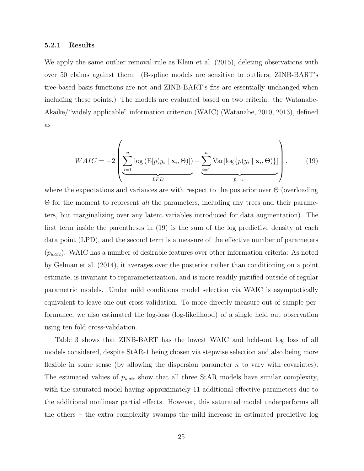#### 5.2.1 Results

We apply the same outlier removal rule as Klein et al. (2015), deleting observations with over 50 claims against them. (B-spline models are sensitive to outliers; ZINB-BART's tree-based basis functions are not and ZINB-BART's fits are essentially unchanged when including these points.) The models are evaluated based on two criteria: the Watanabe-Akaike/"widely applicable" information criterion (WAIC) (Watanabe, 2010, 2013), defined as

$$
WAIC = -2\left(\underbrace{\sum_{i=1}^{n} \log \left(\text{E}[p(y_i \mid \mathbf{x}_i, \Theta)]\right)}_{LPD} - \underbrace{\sum_{i=1}^{n} \text{Var}[\log \{p(y_i \mid \mathbf{x}_i, \Theta)\}]}_{p_{\text{waic}}}\right),\tag{19}
$$

where the expectations and variances are with respect to the posterior over  $\Theta$  (overloading Θ for the moment to represent all the parameters, including any trees and their parameters, but marginalizing over any latent variables introduced for data augmentation). The first term inside the parentheses in (19) is the sum of the log predictive density at each data point (LPD), and the second term is a measure of the effective number of parameters  $(p_{\text{waic}})$ . WAIC has a number of desirable features over other information criteria: As noted by Gelman et al. (2014), it averages over the posterior rather than conditioning on a point estimate, is invariant to reparameterization, and is more readily justified outside of regular parametric models. Under mild conditions model selection via WAIC is asymptotically equivalent to leave-one-out cross-validation. To more directly measure out of sample performance, we also estimated the log-loss (log-likelihood) of a single held out observation using ten fold cross-validation.

Table 3 shows that ZINB-BART has the lowest WAIC and held-out log loss of all models considered, despite StAR-1 being chosen via stepwise selection and also being more flexible in some sense (by allowing the dispersion parameter  $\kappa$  to vary with covariates). The estimated values of  $p_{\text{waic}}$  show that all three StAR models have similar complexity, with the saturated model having approximately 11 additional effective parameters due to the additional nonlinear partial effects. However, this saturated model underperforms all the others – the extra complexity swamps the mild increase in estimated predictive log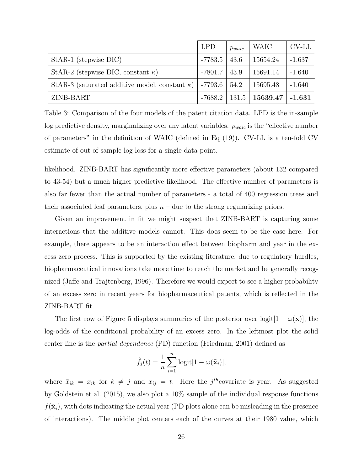|                                                                        | <b>LPD</b> | $p_{\text{waic}}$ | WAIC                                  | CV-LL    |
|------------------------------------------------------------------------|------------|-------------------|---------------------------------------|----------|
| StAR-1 (stepwise DIC)                                                  | $-7783.5$  | 43.6              | 15654.24                              | $-1.637$ |
| StAR-2 (stepwise DIC, constant $\kappa$ )                              | -7801.7    | 43.9              | 15691.14                              | $-1.640$ |
| StAR-3 (saturated additive model, constant $\kappa$ )   -7793.6   54.2 |            |                   | 15695.48                              | $-1.640$ |
| ZINB-BART                                                              |            |                   | $-7688.2$   131.5   15639.47   -1.631 |          |

Table 3: Comparison of the four models of the patent citation data. LPD is the in-sample log predictive density, marginalizing over any latent variables.  $p_{\text{waic}}$  is the "effective number of parameters" in the definition of WAIC (defined in Eq (19)). CV-LL is a ten-fold CV estimate of out of sample log loss for a single data point.

likelihood. ZINB-BART has significantly more effective parameters (about 132 compared to 43-54) but a much higher predictive likelihood. The effective number of parameters is also far fewer than the actual number of parameters - a total of 400 regression trees and their associated leaf parameters, plus  $\kappa$  – due to the strong regularizing priors.

Given an improvement in fit we might suspect that ZINB-BART is capturing some interactions that the additive models cannot. This does seem to be the case here. For example, there appears to be an interaction effect between biopharm and year in the excess zero process. This is supported by the existing literature; due to regulatory hurdles, biopharmaceutical innovations take more time to reach the market and be generally recognized (Jaffe and Trajtenberg, 1996). Therefore we would expect to see a higher probability of an excess zero in recent years for biopharmaceutical patents, which is reflected in the ZINB-BART fit.

The first row of Figure 5 displays summaries of the posterior over logit $[1 - \omega(\mathbf{x})]$ , the log-odds of the conditional probability of an excess zero. In the leftmost plot the solid center line is the partial dependence (PD) function (Friedman, 2001) defined as

$$
\hat{f}_j(t) = \frac{1}{n} \sum_{i=1}^n \text{logit}[1 - \omega(\tilde{\mathbf{x}}_i)],
$$

where  $\tilde{x}_{ik} = x_{ik}$  for  $k \neq j$  and  $x_{ij} = t$ . Here the j<sup>th</sup>covariate is year. As suggested by Goldstein et al. (2015), we also plot a 10% sample of the individual response functions  $f(\tilde{\mathbf{x}}_i)$ , with dots indicating the actual year (PD plots alone can be misleading in the presence of interactions). The middle plot centers each of the curves at their 1980 value, which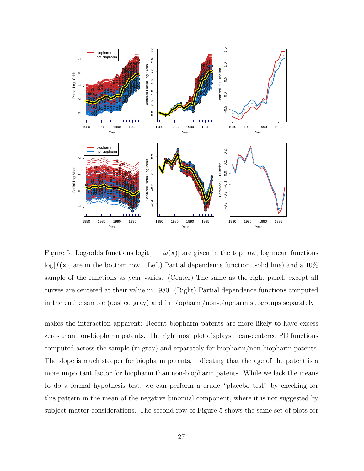

Figure 5: Log-odds functions logit $[1 - \omega(\mathbf{x})]$  are given in the top row, log mean functions  $log[f(\mathbf{x})]$  are in the bottom row. (Left) Partial dependence function (solid line) and a 10% sample of the functions as year varies. (Center) The same as the right panel, except all curves are centered at their value in 1980. (Right) Partial dependence functions computed in the entire sample (dashed gray) and in biopharm/non-biopharm subgroups separately

makes the interaction apparent: Recent biopharm patents are more likely to have excess zeros than non-biopharm patents. The rightmost plot displays mean-centered PD functions computed across the sample (in gray) and separately for biopharm/non-biopharm patents. The slope is much steeper for biopharm patents, indicating that the age of the patent is a more important factor for biopharm than non-biopharm patents. While we lack the means to do a formal hypothesis test, we can perform a crude "placebo test" by checking for this pattern in the mean of the negative binomial component, where it is not suggested by subject matter considerations. The second row of Figure 5 shows the same set of plots for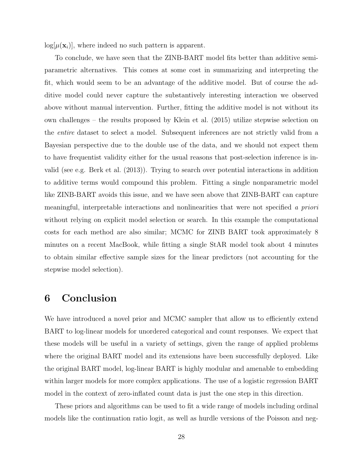$log[\mu(\mathbf{x}_i)]$ , where indeed no such pattern is apparent.

To conclude, we have seen that the ZINB-BART model fits better than additive semiparametric alternatives. This comes at some cost in summarizing and interpreting the fit, which would seem to be an advantage of the additive model. But of course the additive model could never capture the substantively interesting interaction we observed above without manual intervention. Further, fitting the additive model is not without its own challenges – the results proposed by Klein et al. (2015) utilize stepwise selection on the entire dataset to select a model. Subsequent inferences are not strictly valid from a Bayesian perspective due to the double use of the data, and we should not expect them to have frequentist validity either for the usual reasons that post-selection inference is invalid (see e.g. Berk et al. (2013)). Trying to search over potential interactions in addition to additive terms would compound this problem. Fitting a single nonparametric model like ZINB-BART avoids this issue, and we have seen above that ZINB-BART can capture meaningful, interpretable interactions and nonlinearities that were not specified a priori without relying on explicit model selection or search. In this example the computational costs for each method are also similar; MCMC for ZINB BART took approximately 8 minutes on a recent MacBook, while fitting a single StAR model took about 4 minutes to obtain similar effective sample sizes for the linear predictors (not accounting for the stepwise model selection).

### 6 Conclusion

We have introduced a novel prior and MCMC sampler that allow us to efficiently extend BART to log-linear models for unordered categorical and count responses. We expect that these models will be useful in a variety of settings, given the range of applied problems where the original BART model and its extensions have been successfully deployed. Like the original BART model, log-linear BART is highly modular and amenable to embedding within larger models for more complex applications. The use of a logistic regression BART model in the context of zero-inflated count data is just the one step in this direction.

These priors and algorithms can be used to fit a wide range of models including ordinal models like the continuation ratio logit, as well as hurdle versions of the Poisson and neg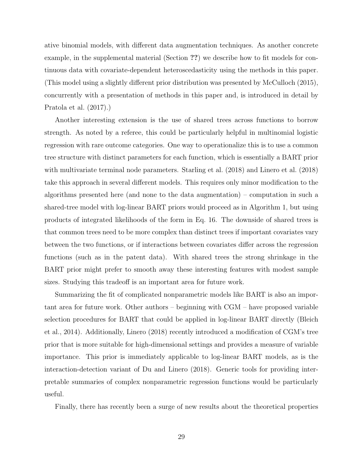ative binomial models, with different data augmentation techniques. As another concrete example, in the supplemental material (Section ??) we describe how to fit models for continuous data with covariate-dependent heteroscedasticity using the methods in this paper. (This model using a slightly different prior distribution was presented by McCulloch (2015), concurrently with a presentation of methods in this paper and, is introduced in detail by Pratola et al. (2017).)

Another interesting extension is the use of shared trees across functions to borrow strength. As noted by a referee, this could be particularly helpful in multinomial logistic regression with rare outcome categories. One way to operationalize this is to use a common tree structure with distinct parameters for each function, which is essentially a BART prior with multivariate terminal node parameters. Starling et al. (2018) and Linero et al. (2018) take this approach in several different models. This requires only minor modification to the algorithms presented here (and none to the data augmentation) – computation in such a shared-tree model with log-linear BART priors would proceed as in Algorithm 1, but using products of integrated likelihoods of the form in Eq. 16. The downside of shared trees is that common trees need to be more complex than distinct trees if important covariates vary between the two functions, or if interactions between covariates differ across the regression functions (such as in the patent data). With shared trees the strong shrinkage in the BART prior might prefer to smooth away these interesting features with modest sample sizes. Studying this tradeoff is an important area for future work.

Summarizing the fit of complicated nonparametric models like BART is also an important area for future work. Other authors – beginning with CGM – have proposed variable selection procedures for BART that could be applied in log-linear BART directly (Bleich et al., 2014). Additionally, Linero (2018) recently introduced a modification of CGM's tree prior that is more suitable for high-dimensional settings and provides a measure of variable importance. This prior is immediately applicable to log-linear BART models, as is the interaction-detection variant of Du and Linero (2018). Generic tools for providing interpretable summaries of complex nonparametric regression functions would be particularly useful.

Finally, there has recently been a surge of new results about the theoretical properties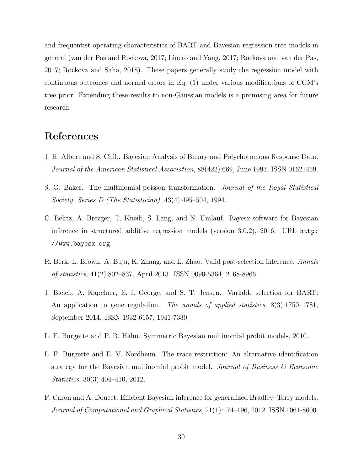and frequentist operating characteristics of BART and Bayesian regression tree models in general (van der Pas and Rockova, 2017; Linero and Yang, 2017; Rockova and van der Pas, 2017; Rockova and Saha, 2018). These papers generally study the regression model with continuous outcomes and normal errors in Eq. (1) under various modifications of CGM's tree prior. Extending these results to non-Gaussian models is a promising area for future research.

### References

- J. H. Albert and S. Chib. Bayesian Analysis of Binary and Polychotomous Response Data. Journal of the American Statistical Association, 88(422):669, June 1993. ISSN 01621459.
- S. G. Baker. The multinomial-poisson transformation. Journal of the Royal Statistical Society. Series D (The Statistician), 43(4):495–504, 1994.
- C. Belitz, A. Brezger, T. Kneib, S. Lang, and N. Umlauf. Bayesx-software for Bayesian inference in structured additive regression models (version 3.0.2), 2016. URL http: //www.bayesx.org.
- R. Berk, L. Brown, A. Buja, K. Zhang, and L. Zhao. Valid post-selection inference. Annals of statistics, 41(2):802–837, April 2013. ISSN 0090-5364, 2168-8966.
- J. Bleich, A. Kapelner, E. I. George, and S. T. Jensen. Variable selection for BART: An application to gene regulation. The annals of applied statistics,  $8(3):1750-1781$ , September 2014. ISSN 1932-6157, 1941-7330.
- L. F. Burgette and P. R. Hahn. Symmetric Bayesian multinomial probit models, 2010.
- L. F. Burgette and E. V. Nordheim. The trace restriction: An alternative identification strategy for the Bayesian multinomial probit model. Journal of Business  $\mathcal C$  Economic Statistics, 30(3):404–410, 2012.
- F. Caron and A. Doucet. Efficient Bayesian inference for generalized Bradley–Terry models. Journal of Computational and Graphical Statistics, 21(1):174–196, 2012. ISSN 1061-8600.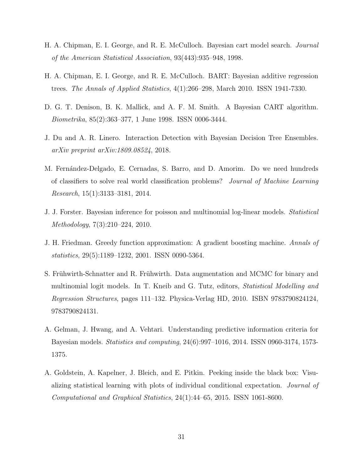- H. A. Chipman, E. I. George, and R. E. McCulloch. Bayesian cart model search. Journal of the American Statistical Association, 93(443):935–948, 1998.
- H. A. Chipman, E. I. George, and R. E. McCulloch. BART: Bayesian additive regression trees. The Annals of Applied Statistics, 4(1):266–298, March 2010. ISSN 1941-7330.
- D. G. T. Denison, B. K. Mallick, and A. F. M. Smith. A Bayesian CART algorithm. Biometrika, 85(2):363–377, 1 June 1998. ISSN 0006-3444.
- J. Du and A. R. Linero. Interaction Detection with Bayesian Decision Tree Ensembles. arXiv preprint arXiv:1809.08524, 2018.
- M. Fernández-Delgado, E. Cernadas, S. Barro, and D. Amorim. Do we need hundreds of classifiers to solve real world classification problems? Journal of Machine Learning Research, 15(1):3133–3181, 2014.
- J. J. Forster. Bayesian inference for poisson and multinomial log-linear models. Statistical Methodology, 7(3):210–224, 2010.
- J. H. Friedman. Greedy function approximation: A gradient boosting machine. Annals of statistics, 29(5):1189–1232, 2001. ISSN 0090-5364.
- S. Frühwirth-Schnatter and R. Frühwirth. Data augmentation and MCMC for binary and multinomial logit models. In T. Kneib and G. Tutz, editors, Statistical Modelling and Regression Structures, pages 111–132. Physica-Verlag HD, 2010. ISBN 9783790824124, 9783790824131.
- A. Gelman, J. Hwang, and A. Vehtari. Understanding predictive information criteria for Bayesian models. Statistics and computing, 24(6):997–1016, 2014. ISSN 0960-3174, 1573- 1375.
- A. Goldstein, A. Kapelner, J. Bleich, and E. Pitkin. Peeking inside the black box: Visualizing statistical learning with plots of individual conditional expectation. Journal of Computational and Graphical Statistics, 24(1):44–65, 2015. ISSN 1061-8600.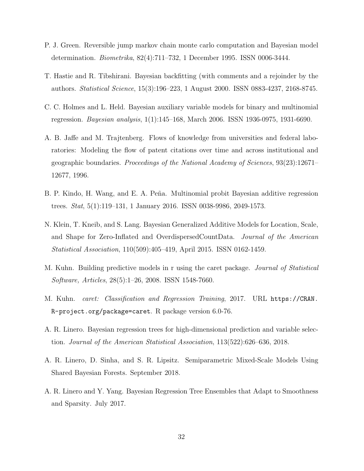- P. J. Green. Reversible jump markov chain monte carlo computation and Bayesian model determination. Biometrika, 82(4):711–732, 1 December 1995. ISSN 0006-3444.
- T. Hastie and R. Tibshirani. Bayesian backfitting (with comments and a rejoinder by the authors. Statistical Science, 15(3):196–223, 1 August 2000. ISSN 0883-4237, 2168-8745.
- C. C. Holmes and L. Held. Bayesian auxiliary variable models for binary and multinomial regression. Bayesian analysis, 1(1):145–168, March 2006. ISSN 1936-0975, 1931-6690.
- A. B. Jaffe and M. Trajtenberg. Flows of knowledge from universities and federal laboratories: Modeling the flow of patent citations over time and across institutional and geographic boundaries. Proceedings of the National Academy of Sciences, 93(23):12671– 12677, 1996.
- B. P. Kindo, H. Wang, and E. A. Peña. Multinomial probit Bayesian additive regression trees. Stat, 5(1):119–131, 1 January 2016. ISSN 0038-9986, 2049-1573.
- N. Klein, T. Kneib, and S. Lang. Bayesian Generalized Additive Models for Location, Scale, and Shape for Zero-Inflated and OverdispersedCountData. Journal of the American Statistical Association, 110(509):405–419, April 2015. ISSN 0162-1459.
- M. Kuhn. Building predictive models in r using the caret package. Journal of Statistical Software, Articles, 28(5):1–26, 2008. ISSN 1548-7660.
- M. Kuhn. caret: Classification and Regression Training, 2017. URL https://CRAN. R-project.org/package=caret. R package version 6.0-76.
- A. R. Linero. Bayesian regression trees for high-dimensional prediction and variable selection. Journal of the American Statistical Association, 113(522):626–636, 2018.
- A. R. Linero, D. Sinha, and S. R. Lipsitz. Semiparametric Mixed-Scale Models Using Shared Bayesian Forests. September 2018.
- A. R. Linero and Y. Yang. Bayesian Regression Tree Ensembles that Adapt to Smoothness and Sparsity. July 2017.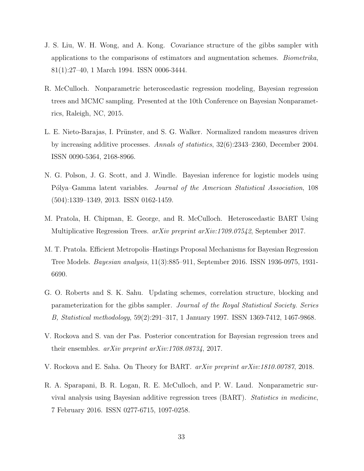- J. S. Liu, W. H. Wong, and A. Kong. Covariance structure of the gibbs sampler with applications to the comparisons of estimators and augmentation schemes. Biometrika, 81(1):27–40, 1 March 1994. ISSN 0006-3444.
- R. McCulloch. Nonparametric heteroscedastic regression modeling, Bayesian regression trees and MCMC sampling. Presented at the 10th Conference on Bayesian Nonparametrics, Raleigh, NC, 2015.
- L. E. Nieto-Barajas, I. Prünster, and S. G. Walker. Normalized random measures driven by increasing additive processes. Annals of statistics, 32(6):2343–2360, December 2004. ISSN 0090-5364, 2168-8966.
- N. G. Polson, J. G. Scott, and J. Windle. Bayesian inference for logistic models using Pólya–Gamma latent variables. *Journal of the American Statistical Association*, 108 (504):1339–1349, 2013. ISSN 0162-1459.
- M. Pratola, H. Chipman, E. George, and R. McCulloch. Heteroscedastic BART Using Multiplicative Regression Trees. arXiv preprint arXiv:1709.07542, September 2017.
- M. T. Pratola. Efficient Metropolis–Hastings Proposal Mechanisms for Bayesian Regression Tree Models. Bayesian analysis, 11(3):885–911, September 2016. ISSN 1936-0975, 1931- 6690.
- G. O. Roberts and S. K. Sahu. Updating schemes, correlation structure, blocking and parameterization for the gibbs sampler. Journal of the Royal Statistical Society. Series B, Statistical methodology, 59(2):291–317, 1 January 1997. ISSN 1369-7412, 1467-9868.
- V. Rockova and S. van der Pas. Posterior concentration for Bayesian regression trees and their ensembles. arXiv preprint arXiv:1708.08734, 2017.
- V. Rockova and E. Saha. On Theory for BART. arXiv preprint arXiv:1810.00787, 2018.
- R. A. Sparapani, B. R. Logan, R. E. McCulloch, and P. W. Laud. Nonparametric survival analysis using Bayesian additive regression trees (BART). Statistics in medicine, 7 February 2016. ISSN 0277-6715, 1097-0258.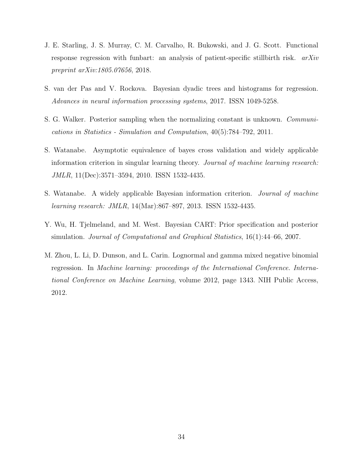- J. E. Starling, J. S. Murray, C. M. Carvalho, R. Bukowski, and J. G. Scott. Functional response regression with funbart: an analysis of patient-specific stillbirth risk.  $arXiv$ preprint arXiv:1805.07656, 2018.
- S. van der Pas and V. Rockova. Bayesian dyadic trees and histograms for regression. Advances in neural information processing systems, 2017. ISSN 1049-5258.
- S. G. Walker. Posterior sampling when the normalizing constant is unknown. Communications in Statistics - Simulation and Computation, 40(5):784–792, 2011.
- S. Watanabe. Asymptotic equivalence of bayes cross validation and widely applicable information criterion in singular learning theory. Journal of machine learning research: JMLR, 11(Dec):3571–3594, 2010. ISSN 1532-4435.
- S. Watanabe. A widely applicable Bayesian information criterion. Journal of machine learning research: JMLR, 14(Mar):867–897, 2013. ISSN 1532-4435.
- Y. Wu, H. Tjelmeland, and M. West. Bayesian CART: Prior specification and posterior simulation. Journal of Computational and Graphical Statistics, 16(1):44–66, 2007.
- M. Zhou, L. Li, D. Dunson, and L. Carin. Lognormal and gamma mixed negative binomial regression. In Machine learning: proceedings of the International Conference. International Conference on Machine Learning, volume 2012, page 1343. NIH Public Access, 2012.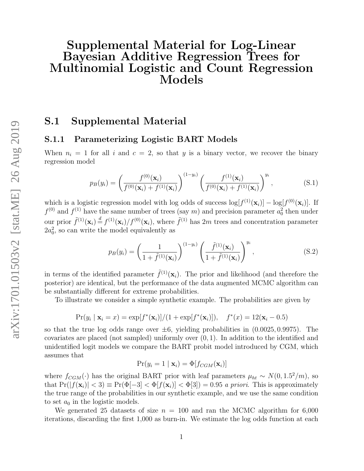# Supplemental Material for Log-Linear Bayesian Additive Regression Trees for Multinomial Logistic and Count Regression Models

### S.1 Supplemental Material

#### S.1.1 Parameterizing Logistic BART Models

When  $n_i = 1$  for all i and  $c = 2$ , so that y is a binary vector, we recover the binary regression model

$$
p_B(y_i) = \left(\frac{f^{(0)}(\mathbf{x}_i)}{f^{(0)}(\mathbf{x}_i) + f^{(1)}(\mathbf{x}_i)}\right)^{(1-y_i)} \left(\frac{f^{(1)}(\mathbf{x}_i)}{f^{(0)}(\mathbf{x}_i) + f^{(1)}(\mathbf{x}_i)}\right)^{y_i},
$$
(S.1)

which is a logistic regression model with log odds of success  $\log[f^{(1)}(\mathbf{x}_i)] - \log[f^{(0)}(\mathbf{x}_i)]$ . If  $f^{(0)}$  and  $f^{(1)}$  have the same number of trees (say m) and precision parameter  $a_0^2$  then under our prior  $\tilde{f}^{(1)}(\mathbf{x}_i) \stackrel{d}{=} f^{(1)}(\mathbf{x}_i) / f^{(0)}(\mathbf{x}_i)$ , where  $\tilde{f}^{(1)}$  has 2m trees and concentration parameter  $2a_0^2$ , so can write the model equivalently as

$$
p_B(y_i) = \left(\frac{1}{1 + \tilde{f}^{(1)}(\mathbf{x}_i)}\right)^{(1-y_i)} \left(\frac{\tilde{f}^{(1)}(\mathbf{x}_i)}{1 + \tilde{f}^{(1)}(\mathbf{x}_i)}\right)^{y_i}, \tag{S.2}
$$

in terms of the identified parameter  $\tilde{f}^{(1)}(\mathbf{x}_i)$ . The prior and likelihood (and therefore the posterior) are identical, but the performance of the data augmented MCMC algorithm can be substantially different for extreme probabilities.

To illustrate we consider a simple synthetic example. The probabilities are given by

$$
Pr(y_i | \mathbf{x}_i = x) = \exp[f^*(\mathbf{x}_i)]/(1 + \exp[f^*(\mathbf{x}_i)]), \quad f^*(x) = 12(\mathbf{x}_i - 0.5)
$$

so that the true log odds range over  $\pm 6$ , yielding probabilities in  $(0.0025, 0.9975)$ . The covariates are placed (not sampled) uniformly over (0, 1). In addition to the identified and unidentified logit models we compare the BART probit model introduced by CGM, which assumes that

$$
Pr(y_i = 1 | \mathbf{x}_i) = \Phi[f_{CGM}(\mathbf{x}_i)]
$$

where  $f_{CGM}(\cdot)$  has the original BART prior with leaf parameters  $\mu_{ht} \sim N(0, 1.5^2/m)$ , so that  $Pr(|f(\mathbf{x}_i)| < 3) \equiv Pr(\Phi[-3] < \Phi[f(\mathbf{x}_i)] < \Phi[3]) = 0.95$  a priori. This is approximately the true range of the probabilities in our synthetic example, and we use the same condition to set  $a_0$  in the logistic models.

We generated 25 datasets of size  $n = 100$  and ran the MCMC algorithm for 6,000 iterations, discarding the first 1,000 as burn-in. We estimate the log odds function at each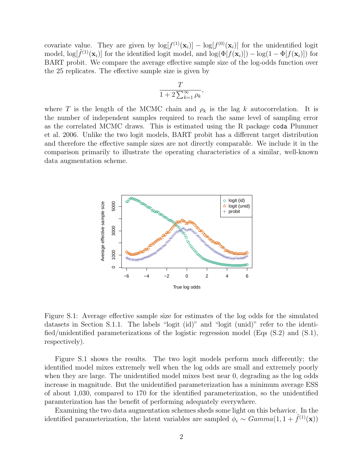covariate value. They are given by  $\log[f^{(1)}(\mathbf{x}_i)] - \log[f^{(0)}(\mathbf{x}_i)]$  for the unidentified logit model,  $\log[\tilde{f}^{(1)}(\mathbf{x}_i)]$  for the identified logit model, and  $\log(\Phi[f(\mathbf{x}_i)]) - \log(1 - \Phi[f(\mathbf{x}_i)])$  for BART probit. We compare the average effective sample size of the log-odds function over the 25 replicates. The effective sample size is given by

$$
\frac{T}{1+2\sum_{k=1}^{\infty}\rho_k},
$$

where T is the length of the MCMC chain and  $\rho_k$  is the lag k autocorrelation. It is the number of independent samples required to reach the same level of sampling error as the correlated MCMC draws. This is estimated using the R package coda Plummer et al. 2006. Unlike the two logit models, BART probit has a different target distribution and therefore the effective sample sizes are not directly comparable. We include it in the comparison primarily to illustrate the operating characteristics of a similar, well-known data augmentation scheme.



Figure S.1: Average effective sample size for estimates of the log odds for the simulated datasets in Section S.1.1. The labels "logit (id)" and "logit (unid)" refer to the identified/unidentified parameterizations of the logistic regression model (Eqs (S.2) and (S.1), respectively).

Figure S.1 shows the results. The two logit models perform much differently; the identified model mixes extremely well when the log odds are small and extremely poorly when they are large. The unidentified model mixes best near 0, degrading as the log odds increase in magnitude. But the unidentified parameterization has a minimum average ESS of about 1,030, compared to 170 for the identified parameterization, so the unidentified paramterization has the benefit of performing adequately everywhere.

Examining the two data augmentation schemes sheds some light on this behavior. In the identified parameterization, the latent variables are sampled  $\phi_i \sim Gamma(1, 1 + \tilde{f}^{(1)}(\mathbf{x}))$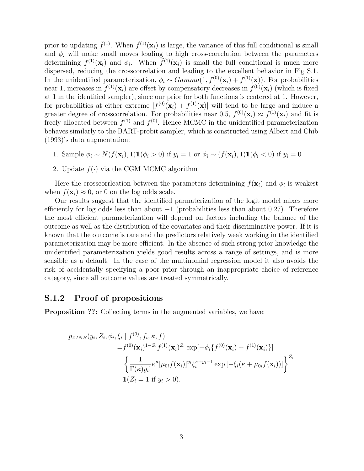prior to updating  $\tilde{f}^{(1)}$ . When  $\tilde{f}^{(1)}(\mathbf{x}_i)$  is large, the variance of this full conditional is small and  $\phi_i$  will make small moves leading to high cross-correlation between the parameters determining  $f^{(1)}(\mathbf{x}_i)$  and  $\phi_i$ . When  $\tilde{f}^{(1)}(\mathbf{x}_i)$  is small the full conditional is much more dispersed, reducing the crosscorrelation and leading to the excellent behavior in Fig S.1. In the unidentified parameterization,  $\phi_i \sim Gamma(1, f^{(0)}(\mathbf{x}_i) + f^{(1)}(\mathbf{x}))$ . For probabilities near 1, increases in  $f^{(1)}(\mathbf{x}_i)$  are offset by compensatory decreases in  $f^{(0)}(\mathbf{x}_i)$  (which is fixed at 1 in the identified sampler), since our prior for both functions is centered at 1. However, for probabilities at either extreme  $|f^{(0)}(\mathbf{x}_i) + f^{(1)}(\mathbf{x})|$  will tend to be large and induce a greater degree of crosscorrelation. For probabilities near 0.5,  $f^{(0)}(\mathbf{x}_i) \approx f^{(1)}(\mathbf{x}_i)$  and fit is freely allocated between  $f^{(1)}$  and  $f^{(0)}$ . Hence MCMC in the unidentified parameterization behaves similarly to the BART-probit sampler, which is constructed using Albert and Chib (1993)'s data augmentation:

- 1. Sample  $\phi_i \sim N(f(\mathbf{x}_i), 1) \mathbb{1}(\phi_i > 0)$  if  $y_i = 1$  or  $\phi_i \sim (f(\mathbf{x}_i), 1) \mathbb{1}(\phi_i < 0)$  if  $y_i = 0$
- 2. Update  $f(\cdot)$  via the CGM MCMC algorithm

Here the crosscorrileation between the parameters determining  $f(\mathbf{x}_i)$  and  $\phi_i$  is weakest when  $f(\mathbf{x}_i) \approx 0$ , or 0 on the log odds scale.

Our results suggest that the identified parmaterization of the logit model mixes more efficiently for log odds less than about  $-1$  (probabilities less than about 0.27). Therefore the most efficient parameterization will depend on factors including the balance of the outcome as well as the distribution of the covariates and their discriminative power. If it is known that the outcome is rare and the predictors relatively weak working in the identified parameterization may be more efficient. In the absence of such strong prior knowledge the unidentified parameterization yields good results across a range of settings, and is more sensible as a default. In the case of the multinomial regression model it also avoids the risk of accidentally specifying a poor prior through an inappropriate choice of reference category, since all outcome values are treated symmetrically.

#### S.1.2 Proof of propositions

Proposition ??: Collecting terms in the augmented variables, we have:

$$
p_{ZINB}(y_i, Z_i, \phi_i, \xi_i | f^{(0)}, f_i, \kappa, f)
$$
  
=  $f^{(0)}(\mathbf{x}_i)^{1-Z_i} f^{(1)}(\mathbf{x}_i)^{Z_i} \exp[-\phi_i \{f^{(0)}(\mathbf{x}_i) + f^{(1)}(\mathbf{x}_i)\}]$   

$$
\left\{ \frac{1}{\Gamma(\kappa) y_i!} \kappa^{\kappa} [\mu_{0i} f(\mathbf{x}_i)]^{y_i} \xi_i^{\kappa+y_i-1} \exp[-\xi_i(\kappa + \mu_{0i} f(\mathbf{x}_i))] \right\}^{Z_i}
$$
  

$$
\mathbb{1}(Z_i = 1 \text{ if } y_i > 0).
$$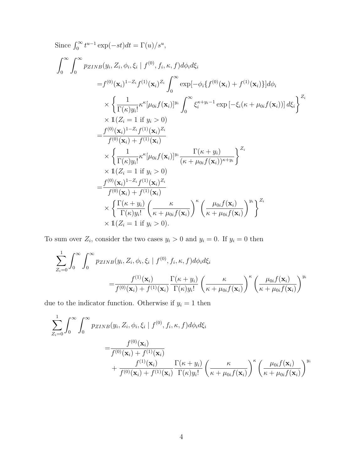Since 
$$
\int_{0}^{\infty} t^{u-1} \exp(-st) dt = \Gamma(u)/s^{u},
$$
  
\n
$$
\int_{0}^{\infty} \int_{0}^{\infty} p_{ZINB}(y_{i}, Z_{i}, \phi_{i}, \xi_{i} | f^{(0)}, f_{i}, \kappa, f) d\phi_{i} d\xi_{i}
$$
\n
$$
= f^{(0)}(\mathbf{x}_{i})^{1-Z_{i}} f^{(1)}(\mathbf{x}_{i})^{Z_{i}} \int_{0}^{\infty} \exp[-\phi_{i} \{f^{(0)}(\mathbf{x}_{i}) + f^{(1)}(\mathbf{x}_{i})\}] d\phi_{i}
$$
\n
$$
\times \left\{ \frac{1}{\Gamma(\kappa)y_{i}!} \kappa^{\kappa} [\mu_{0i} f(\mathbf{x}_{i})]^{y_{i}} \int_{0}^{\infty} \xi_{i}^{\kappa+y_{i}-1} \exp[-\xi_{i}(\kappa + \mu_{0i} f(\mathbf{x}_{i}))] d\xi_{i} \right\}^{Z_{i}}
$$
\n
$$
\times 1(Z_{i} = 1 \text{ if } y_{i} > 0)
$$
\n
$$
= \frac{f^{(0)}(\mathbf{x}_{i})^{1-Z_{i}} f^{(1)}(\mathbf{x}_{i})^{Z_{i}}}{f^{(0)}(\mathbf{x}_{i}) + f^{(1)}(\mathbf{x}_{i})}
$$
\n
$$
\times \left\{ \frac{1}{\Gamma(\kappa)y_{i}!} \kappa^{\kappa} [\mu_{0i} f(\mathbf{x}_{i})]^{y_{i}} \frac{\Gamma(\kappa+y_{i})}{(\kappa+\mu_{0i} f(\mathbf{x}_{i}))^{\kappa+y_{i}}} \right\}^{Z_{i}}
$$
\n
$$
\times 1(Z_{i} = 1 \text{ if } y_{i} > 0)
$$
\n
$$
= \frac{f^{(0)}(\mathbf{x}_{i})^{1-Z_{i}} f^{(1)}(\mathbf{x}_{i})^{Z_{i}}}{f^{(0)}(\mathbf{x}_{i}) + f^{(1)}(\mathbf{x}_{i})}
$$
\n
$$
\times \left\{ \frac{\Gamma(\kappa+y_{i})}{\Gamma(\kappa)y_{i}!} \left( \frac{\kappa}{\kappa+\mu_{0i} f(\mathbf{x}_{i})} \right)^{y_{i}} \left( \frac{\mu_{0i} f(\mathbf{x}_{i})}{\kappa+\mu_{0i} f(\
$$

To sum over  $Z_i$ , consider the two cases  $y_i > 0$  and  $y_i = 0$ . If  $y_i = 0$  then

$$
\sum_{Z_i=0}^{1} \int_0^{\infty} \int_0^{\infty} p_{ZINB}(y_i, Z_i, \phi_i, \xi_i | f^{(0)}, f_i, \kappa, f) d\phi_i d\xi_i
$$
\n
$$
= \frac{f^{(1)}(\mathbf{x}_i)}{f^{(0)}(\mathbf{x}_i) + f^{(1)}(\mathbf{x}_i)} \frac{\Gamma(\kappa + y_i)}{\Gamma(\kappa) y_i!} \left(\frac{\kappa}{\kappa + \mu_{0i} f(\mathbf{x}_i)}\right)^{\kappa} \left(\frac{\mu_{0i} f(\mathbf{x}_i)}{\kappa + \mu_{0i} f(\mathbf{x}_i)}\right)^{y_i}
$$

due to the indicator function. Otherwise if  $y_i = 1$  then

$$
\sum_{Z_i=0}^{1} \int_0^\infty \int_0^\infty p_{ZINB}(y_i, Z_i, \phi_i, \xi_i | f^{(0)}, f_i, \kappa, f) d\phi_i d\xi_i
$$
\n
$$
= \frac{f^{(0)}(\mathbf{x}_i)}{f^{(0)}(\mathbf{x}_i) + f^{(1)}(\mathbf{x}_i)} + \frac{f^{(1)}(\mathbf{x}_i)}{f^{(0)}(\mathbf{x}_i) + f^{(1)}(\mathbf{x}_i)} \frac{\Gamma(\kappa + y_i)}{\Gamma(\kappa) y_i!} \left(\frac{\kappa}{\kappa + \mu_{0i} f(\mathbf{x}_i)}\right)^{y_i} \left(\frac{\mu_{0i} f(\mathbf{x}_i)}{\kappa + \mu_{0i} f(\mathbf{x}_i)}\right)^{y_i}
$$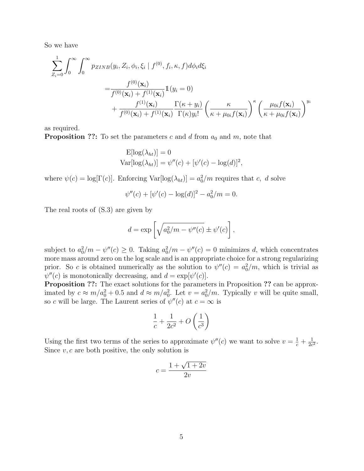So we have

$$
\sum_{Z_i=0}^{1} \int_0^{\infty} \int_0^{\infty} p_{ZINB}(y_i, Z_i, \phi_i, \xi_i | f^{(0)}, f_i, \kappa, f) d\phi_i d\xi_i
$$
\n
$$
= \frac{f^{(0)}(\mathbf{x}_i)}{f^{(0)}(\mathbf{x}_i) + f^{(1)}(\mathbf{x}_i)} \mathbb{1}(y_i = 0)
$$
\n
$$
+ \frac{f^{(1)}(\mathbf{x}_i)}{f^{(0)}(\mathbf{x}_i) + f^{(1)}(\mathbf{x}_i)} \frac{\Gamma(\kappa + y_i)}{\Gamma(\kappa) y_i!} \left(\frac{\kappa}{\kappa + \mu_{0i} f(\mathbf{x}_i)}\right)^{y_i} \left(\frac{\mu_{0i} f(\mathbf{x}_i)}{\kappa + \mu_{0i} f(\mathbf{x}_i)}\right)^{y_i}
$$

as required.

**Proposition ??:** To set the parameters c and d from  $a_0$  and  $m$ , note that

$$
\mathcal{E}[\log(\lambda_{ht})] = 0
$$
  
 
$$
\text{Var}[\log(\lambda_{ht})] = \psi''(c) + [\psi'(c) - \log(d)]^2,
$$

where  $\psi(c) = \log[\Gamma(c)]$ . Enforcing  $\text{Var}[\log(\lambda_{ht})] = a_0^2/m$  requires that c, d solve

$$
\psi''(c) + [\psi'(c) - \log(d)]^2 - a_0^2/m = 0.
$$

The real roots of (S.3) are given by

$$
d = \exp\left[\sqrt{a_0^2/m - \psi''(c)} \pm \psi'(c)\right],
$$

subject to  $a_0^2/m - \psi''(c) \ge 0$ . Taking  $a_0^2/m - \psi''(c) = 0$  minimizes d, which concentrates more mass around zero on the log scale and is an appropriate choice for a strong regularizing prior. So c is obtained numerically as the solution to  $\psi''(c) = a_0^2/m$ , which is trivial as  $\psi''(c)$  is monotonically decreasing, and  $d = \exp[\psi'(c)]$ .

Proposition ??: The exact solutions for the parameters in Proposition ?? can be approximated by  $c \approx m/a_0^2 + 0.5$  and  $d \approx m/a_0^2$ . Let  $v = a_0^2/m$ . Typically v will be quite small, so c will be large. The Laurent series of  $\psi''(c)$  at  $c = \infty$  is

$$
\frac{1}{c} + \frac{1}{2c^2} + O\left(\frac{1}{c^3}\right)
$$

Using the first two terms of the series to approximate  $\psi''(c)$  we want to solve  $v = \frac{1}{c} + \frac{1}{2c}$  $\frac{1}{2c^2}$ . Since  $v, c$  are both positive, the only solution is

$$
c = \frac{1 + \sqrt{1 + 2v}}{2v}
$$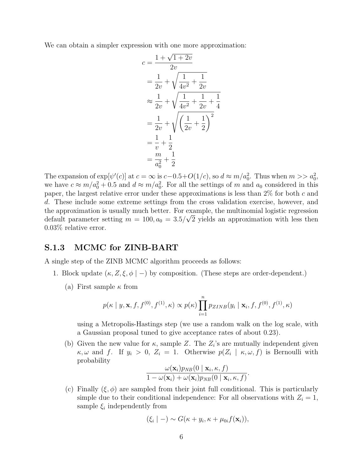We can obtain a simpler expression with one more approximation:

$$
c = \frac{1 + \sqrt{1 + 2v}}{2v}
$$
  
=  $\frac{1}{2v} + \sqrt{\frac{1}{4v^2} + \frac{1}{2v}}$   

$$
\approx \frac{1}{2v} + \sqrt{\frac{1}{4v^2} + \frac{1}{2v} + \frac{1}{4}}
$$
  
=  $\frac{1}{2v} + \sqrt{\left(\frac{1}{2v} + \frac{1}{2}\right)^2}$   
=  $\frac{1}{v} + \frac{1}{2}$   
=  $\frac{m}{a_0^2} + \frac{1}{2}$ 

The expansion of  $\exp[\psi'(c)]$  at  $c = \infty$  is  $c - 0.5 + O(1/c)$ , so  $d \approx m/a_0^2$ . Thus when  $m >> a_0^2$ , we have  $c \approx m/a_0^2 + 0.5$  and  $d \approx m/a_0^2$ . For all the settings of m and  $a_0$  considered in this paper, the largest relative error under these approximations is less than 2% for both c and d. These include some extreme settings from the cross validation exercise, however, and the approximation is usually much better. For example, the multinomial logistic regression default parameter setting  $m = 100$ ,  $a_0 = 3.5/\sqrt{2}$  yields an approximation with less then 0.03% relative error.

#### S.1.3 MCMC for ZINB-BART

A single step of the ZINB MCMC algorithm proceeds as follows:

- 1. Block update  $(\kappa, Z, \xi, \phi \mid -)$  by composition. (These steps are order-dependent.)
	- (a) First sample  $\kappa$  from

$$
p(\kappa \mid y, \mathbf{x}, f, f^{(0)}, f^{(1)}, \kappa) \propto p(\kappa) \prod_{i=1}^{n} p_{ZINB}(y_i \mid \mathbf{x}_i, f, f^{(0)}, f^{(1)}, \kappa)
$$

using a Metropolis-Hastings step (we use a random walk on the log scale, with a Gaussian proposal tuned to give acceptance rates of about 0.23).

(b) Given the new value for  $\kappa$ , sample Z. The  $Z_i$ 's are mutually independent given  $\kappa, \omega$  and f. If  $y_i > 0$ ,  $Z_i = 1$ . Otherwise  $p(Z_i \mid \kappa, \omega, f)$  is Bernoulli with probability

$$
\frac{\omega(\mathbf{x}_i)p_{NB}(0 \mid \mathbf{x}_i, \kappa, f)}{1 - \omega(\mathbf{x}_i) + \omega(\mathbf{x}_i)p_{NB}(0 \mid \mathbf{x}_i, \kappa, f)}
$$

.

(c) Finally  $(\xi, \phi)$  are sampled from their joint full conditional. This is particularly simple due to their conditional independence: For all observations with  $Z_i = 1$ , sample  $\xi_i$  independently from

$$
(\xi_i \mid -) \sim G(\kappa + y_i, \kappa + \mu_{0i} f(\mathbf{x}_i)),
$$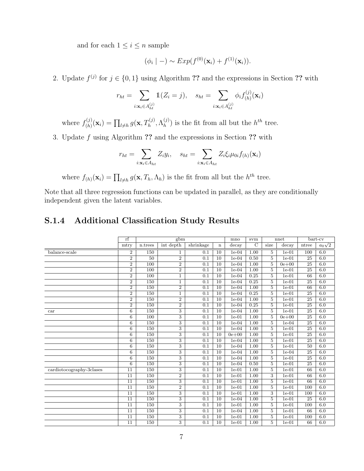and for each  $1 \leq i \leq n$  sample

$$
(\phi_i | -) \sim Exp(f^{(0)}(\mathbf{x}_i) + f^{(1)}(\mathbf{x}_i)).
$$

2. Update  $f^{(j)}$  for  $j \in \{0,1\}$  using Algorithm ?? and the expressions in Section ?? with

$$
r_{ht} = \sum_{i: \mathbf{x}_i \in A_{ht}^{(j)}} 1\!\!1(Z_i = j), \quad s_{ht} = \sum_{i: \mathbf{x}_i \in A_{ht}^{(j)}} \phi_i f_{(h)}^{(j)}(\mathbf{x}_i)
$$

where  $f_{(h)}^{(j)}$  $\Gamma_{(h)}^{(j)}(\mathbf{x}_i) = \prod_{l \neq h} g(\mathbf{x}, T_h^{(j)}, \Lambda_h^{(j)})$  $\binom{J}{h}$  is the fit from all but the  $h^{th}$  tree.

3. Update f using Algorithm ?? and the expressions in Section ?? with

$$
r_{ht} = \sum_{i:\mathbf{x}_i \in A_{ht}} Z_i y_i, \quad s_{ht} = \sum_{i:\mathbf{x}_i \in A_{ht}} Z_i \xi_i \mu_{0i} f_{(h)}(\mathbf{x}_i)
$$

where  $f_{(h)}(\mathbf{x}_i) = \prod_{l \neq h} g(\mathbf{x}, T_h, \Lambda_h)$  is the fit from all but the  $h^{th}$  tree.

Note that all three regression functions can be updated in parallel, as they are conditionally independent given the latent variables.

### S.1.4 Additional Classification Study Results

|                             | rf              |                  | mno            | svm              | nnet            |           | bart-cv       |                |           |                 |               |
|-----------------------------|-----------------|------------------|----------------|------------------|-----------------|-----------|---------------|----------------|-----------|-----------------|---------------|
|                             | mtry            | n.trees          | int depth      | shrinkage        | $\mathbf n$     | decay     | $\mathcal{C}$ | size           | decay     | ntree           | $a_0\sqrt{2}$ |
| balance-scale               | $\overline{2}$  | 150              | $\mathbf 1$    | 0.1              | 10              | $1e-04$   | 1.00          | $\overline{5}$ | $1e-01$   | 100             | 6.0           |
|                             | $\overline{2}$  | $\overline{50}$  | $\overline{2}$ | $\overline{0.1}$ | $\overline{10}$ | $1e-04$   | 0.50          | $\overline{5}$ | $1e-01$   | $\overline{25}$ | 6.0           |
|                             | $\overline{2}$  | 100              | $\overline{2}$ | 0.1              | 10              | $1e-04$   | 1.00          | 5              | $0e + 00$ | 25              | 6.0           |
|                             | $\overline{2}$  | 100              | $\overline{2}$ | 0.1              | 10              | $1e-04$   | 1.00          | 5              | $1e-01$   | 25              | 6.0           |
|                             | $\overline{2}$  | $\overline{100}$ | $\mathbf{1}$   | 0.1              | $\overline{10}$ | $1e-04$   | 0.25          | $\overline{5}$ | $1e-01$   | 66              | 6.0           |
|                             | $\overline{2}$  | 150              | 1              | $\overline{0.1}$ | $\overline{10}$ | $1e-04$   | 0.25          | $\overline{5}$ | $1e-01$   | $\overline{25}$ | 6.0           |
|                             | $\overline{2}$  | 150              | $\overline{2}$ | 0.1              | 10              | $1e-04$   | 1.00          | $\overline{5}$ | $1e-01$   | 66              | 6.0           |
|                             | $\overline{2}$  | 150              | $\mathbf{1}$   | 0.1              | $\overline{10}$ | $1e-04$   | 0.25          | $\overline{5}$ | $1e-01$   | 25              | 6.0           |
|                             | $\overline{2}$  | 150              | $\overline{2}$ | 0.1              | 10              | $1e-04$   | 1.00          | 5              | $1e-01$   | $\overline{25}$ | 6.0           |
|                             | $\overline{2}$  | 150              | $\overline{2}$ | 0.1              | 10              | $1e-04$   | 0.25          | 5              | $1e-01$   | 25              | 6.0           |
| car                         | 6               | 150              | $\overline{3}$ | 0.1              | 10              | $1e-04$   | 1.00          | $\overline{5}$ | $1e-01$   | 25              | 6.0           |
|                             | 6               | 100              | 3              | $\overline{0.1}$ | 10              | $1e-01$   | 1.00          | 5              | $0e + 00$ | $\overline{25}$ | 6.0           |
|                             | $\,6\,$         | 150              | 3              | 0.1              | $\overline{10}$ | $1e-04$   | 1.00          | $\overline{5}$ | $1e-04$   | 25              | 6.0           |
|                             | 6               | 150              | 3              | 0.1              | 10              | $1e-04$   | 1.00          | $\overline{5}$ | $1e-01$   | 25              | 6.0           |
|                             | $\overline{6}$  | 150              | $\overline{3}$ | $\overline{0.1}$ | $\overline{10}$ | $0e + 00$ | 1.00          | $\overline{5}$ | $1e-01$   | $\overline{25}$ | 6.0           |
|                             | 6               | 150              | 3              | 0.1              | 10              | $1e-04$   | 1.00          | $\overline{5}$ | $1e-01$   | 25              | 6.0           |
|                             | 6               | 150              | 3              | 0.1              | 10              | $1e-04$   | 1.00          | 5              | $1e-01$   | 50              | 6.0           |
|                             | 6               | 150              | $\overline{3}$ | $\overline{0.1}$ | $\overline{10}$ | $1e-04$   | 1.00          | $\overline{5}$ | $1e-04$   | $\overline{25}$ | 6.0           |
|                             | 6               | 150              | $\overline{3}$ | 0.1              | $\overline{10}$ | $1e-04$   | 1.00          | 5              | $1e-01$   | $\overline{25}$ | 6.0           |
|                             | 6               | 150              | 3              | 0.1              | 10              | $1e-04$   | 0.50          | 5              | $1e-01$   | 25              | 6.0           |
| $cardiotocography-3classes$ | $\overline{11}$ | 150              | 3              | 0.1              | 10              | $1e-01$   | 1.00          | $\overline{5}$ | $1e-01$   | 66              | 6.0           |
|                             | $\overline{11}$ | 150              | $\overline{2}$ | 0.1              | 10              | $1e-01$   | 1.00          | $\overline{3}$ | $1e-01$   | 66              | 6.0           |
|                             | 11              | 150              | 3              | 0.1              | 10              | $1e-01$   | 1.00          | 5              | $1e-01$   | 66              | 6.0           |
|                             | $\overline{11}$ | 150              | $\overline{2}$ | 0.1              | $\overline{10}$ | $1e-01$   | 1.00          | $\overline{5}$ | $1e-01$   | 100             | 6.0           |
|                             | $\overline{11}$ | 150              | $\overline{3}$ | $\overline{0.1}$ | $\overline{10}$ | $1e-01$   | 1.00          | $\overline{3}$ | $1e-01$   | 100             | 6.0           |
|                             | 11              | 150              | 3              | 0.1              | 10              | $1e-04$   | 1.00          | 5              | $1e-01$   | 25              | 6.0           |
|                             | 11              | 150              | $\overline{3}$ | 0.1              | 10              | $1e-01$   | 1.00          | 5              | $1e-01$   | 100             | 6.0           |
|                             | $\overline{11}$ | 150              | $\overline{3}$ | 0.1              | 10              | $1e-04$   | 1.00          | $\overline{5}$ | $1e-01$   | 66              | 6.0           |
|                             | $\overline{11}$ | 150              | 3              | 0.1              | $\overline{10}$ | $1e-01$   | 1.00          | $\overline{5}$ | $1e-01$   | 100             | 6.0           |
|                             | 11              | 150              | $\overline{3}$ | 0.1              | 10              | $1e-01$   | 1.00          | 5              | $1e-01$   | 66              | 6.0           |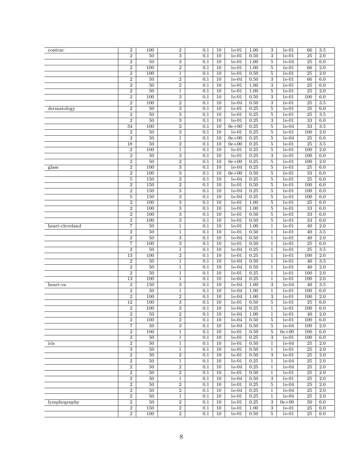| contrac         | $\,2$            | 100             | $\boldsymbol{2}$ | 0.1              | 10              | $1e-01$   | 1.00              | 3                | $1e-01$   | 66              | 3.5              |
|-----------------|------------------|-----------------|------------------|------------------|-----------------|-----------|-------------------|------------------|-----------|-----------------|------------------|
|                 | $\boldsymbol{2}$ | 50              | $\overline{3}$   | 0.1              | 10              | $1e-01$   | 0.50              | $\overline{3}$   | $1e-01$   | 25              | 2.0              |
|                 | $\overline{2}$   | 50              | $\,3$            | 0.1              | 10              | $1e-01$   | 1.00              | $\overline{5}$   | $1e-04$   | 25              | 6.0              |
|                 |                  |                 | $\overline{2}$   |                  |                 |           |                   |                  |           |                 |                  |
|                 | $\boldsymbol{2}$ | 100             |                  | 0.1              | 10              | $1e-01$   | 1.00              | $\bf 5$          | $1e-01$   | 66              | 2.0              |
|                 | $\overline{2}$   | 100             | $\mathbf{1}$     | 0.1              | 10              | $1e-01$   | 0.50              | $\overline{5}$   | $1e-01$   | 25              | 2.0              |
|                 | $\overline{2}$   | $50\,$          | $\,2$            | 0.1              | 10              | $1e-04$   | $\overline{0.50}$ | 3                | $1e-01$   | 66              | 6.0              |
|                 | $\boldsymbol{2}$ | 50              | $\,2$            | 0.1              | 10              | $1e-01$   | 1.00              | $\boldsymbol{3}$ | $1e-01$   | 25              | 6.0              |
|                 | $\overline{2}$   | 50              | $\mathbf{1}$     | 0.1              | 10              | $1e-01$   | 1.00              | $\overline{5}$   | $1e-01$   | $\overline{25}$ | 2.0              |
|                 |                  |                 |                  |                  |                 |           |                   |                  |           |                 |                  |
|                 | $\,2$            | 100             | $\,3$            | 0.1              | 10              | $1e-01$   | 0.50              | 3                | $1e-01$   | 100             | 6.0              |
|                 | $\overline{2}$   | 100             | $\overline{2}$   | 0.1              | 10              | $1e-04$   | 0.50              | $\overline{3}$   | $1e-01$   | $\overline{25}$ | 3.5              |
| dermatology     | $\boldsymbol{2}$ | 50              | 3                | 0.1              | 10              | $1e-01$   | 0.25              | $\overline{5}$   | $1e-01$   | 25              | 6.0              |
|                 | $\boldsymbol{2}$ | 50              | 3                | 0.1              | 10              | $1e-01$   | 0.25              | 5                | $1e-01$   | 25              | 3.5              |
|                 | $\overline{2}$   | 50              | $\overline{3}$   | 0.1              | 10              | $1e-01$   | 0.25              | $\overline{3}$   | $1e-01$   | $\overline{33}$ | 6.0              |
|                 | 34               | 100             | $\,2$            | 0.1              | 10              | $0e + 00$ | 0.25              | $\overline{5}$   | $1e-04$   | 33              | 3.5              |
|                 |                  |                 |                  |                  |                 |           |                   |                  |           |                 |                  |
|                 | $\overline{2}$   | 50              | 3                | 0.1              | 10              | $1e-01$   | 0.25              | $\bf 5$          | $1e-01$   | 100             | 2.0              |
|                 | $\overline{2}$   | 50              | $\mathbf{1}$     | 0.1              | 10              | $0e + 00$ | 0.25              | $\overline{5}$   | $1e-04$   | 25              | 6.0              |
|                 | 18               | 50              | $\overline{2}$   | 0.1              | 10              | $0e + 00$ | 0.25              | $\overline{5}$   | $1e-01$   | $\overline{25}$ | 3.5              |
|                 | $\boldsymbol{2}$ | 100             | $\mathbf{1}$     | 0.1              | 10              | $1e-01$   | 0.25              | $\bf 5$          | $1e-01$   | 100             | $\overline{2.0}$ |
|                 | $\boldsymbol{2}$ | 50              | $\,3$            | 0.1              | 10              | $1e-01$   | 0.25              | $\boldsymbol{3}$ | $1e-01$   | 100             | 6.0              |
|                 |                  |                 |                  |                  |                 |           |                   |                  |           |                 |                  |
|                 | $\overline{2}$   | 50              | $\overline{2}$   | 0.1              | 10              | $0e + 00$ | 0.25              | $\bf 5$          | $1e-01$   | 100             | 2.0              |
| glass           | $\boldsymbol{2}$ | 100             | 3                | 0.1              | 10              | $1e-04$   | 0.25              | $\bf 5$          | $1e-01$   | 25              | 6.0              |
|                 | $\sqrt{2}$       | 100             | 3                | 0.1              | 10              | $0e + 00$ | 0.50              | $\bf 5$          | $1e-01$   | 33              | 6.0              |
|                 | $\bf 5$          | 150             | 3                | 0.1              | 10              | $1e-04$   | 0.25              | $\overline{5}$   | $1e-01$   | 25              | 6.0              |
|                 | $\boldsymbol{2}$ | 150             | $\overline{2}$   | 0.1              | $\overline{10}$ | $1e-01$   | 0.50              | $\bf 5$          | $1e-01$   | 100             | 6.0              |
|                 |                  | 150             |                  |                  |                 |           | 0.25              |                  |           |                 | 6.0              |
|                 | $\sqrt{2}$       |                 | $\,3$            | 0.1              | 10              | $1e-04$   |                   | $\bf 5$          | $1e-01$   | 100             |                  |
|                 | 5                | 150             | 3                | 0.1              | 10              | $1e-04$   | 0.25              | 5                | $1e-01$   | 100             | 6.0              |
|                 | $\overline{2}$   | 100             | $\overline{3}$   | 0.1              | 10              | $1e-01$   | 1.00              | $\bf 5$          | $1e-01$   | 25              | 6.0              |
|                 | $\boldsymbol{2}$ | 100             | $\overline{3}$   | 0.1              | 10              | $1e-01$   | 1.00              | $\overline{5}$   | $1e-01$   | 33              | 6.0              |
|                 | $\overline{2}$   | 100             | 3                | 0.1              | 10              | $1e-01$   | 0.50              | $\bf 5$          | $1e-01$   | 33              | 6.0              |
|                 | $\overline{2}$   | 100             | $\overline{3}$   | 0.1              | 10              | $1e-01$   | 0.50              | $\overline{5}$   | $1e-01$   | $\overline{33}$ | 6.0              |
|                 |                  |                 |                  |                  |                 |           |                   |                  |           |                 |                  |
| heart-cleveland | 7                | $\overline{50}$ | 1                | 0.1              | 10              | $1e-01$   | 1.00              | 1                | $1e-01$   | 40              | 2.0              |
|                 | $\overline{2}$   | 50              | 1                | 0.1              | 10              | $1e-01$   | $\overline{0.50}$ | $\mathbf 1$      | $1e-01$   | 40              | 3.5              |
|                 | $\overline{2}$   | 50              | $\overline{3}$   | 0.1              | 10              | $1e-04$   | 0.50              | $\mathbf{1}$     | $1e-01$   | 40              | $\overline{2.0}$ |
|                 | 7                | 100             | $\overline{3}$   | 0.1              | 10              | $1e-01$   | 0.50              | $\mathbf{1}$     | $1e-01$   | 25              | 6.0              |
|                 | $\overline{2}$   | $50\,$          | $\mathbf{1}$     | 0.1              | 10              | $1e-04$   | 0.25              | $\mathbf{1}$     | $1e-01$   | 25              | 3.5              |
|                 |                  |                 |                  |                  |                 |           |                   |                  |           |                 |                  |
|                 | $\overline{13}$  | 100             | $\overline{2}$   | 0.1              | 10              | $1e-01$   | 0.25              | $\mathbf{1}$     | $1e-01$   | 100             | $\overline{2.0}$ |
|                 | $\,2$            | 50              | $\mathbf{1}$     | 0.1              | 10              | $1e-04$   | 0.50              | 1                | $1e-01$   | 40              | 3.5              |
|                 | $\boldsymbol{2}$ | 50              | $\mathbf{1}$     | 0.1              | 10              | $1e-04$   | 0.50              | $\mathbf{1}$     | $1e-01$   | 40              | 2.0              |
|                 | $\overline{2}$   | 50              | $\mathbf{1}$     | 0.1              | 10              | $1e-01$   | 0.25              | $\mathbf{1}$     | $1e-01$   | 100             | $\overline{2.0}$ |
|                 | $\overline{13}$  | 100             | 1                | 0.1              | 10              | $1e-04$   | 0.25              | $\mathbf 1$      | $1e-01$   | 100             | $\overline{2.0}$ |
|                 |                  |                 |                  |                  |                 |           |                   |                  |           |                 |                  |
| heart-va        | $\overline{2}$   | 150             | 3                | 0.1              | 10              | $1e-04$   | 1.00              | 3                | $1e-04$   | 40              | 3.5              |
|                 | $\boldsymbol{2}$ | 50              | $\mathbf{1}$     | 0.1              | 10              | $1e-04$   | 1.00              | $\mathbf{1}$     | $1e-01$   | 100             | 6.0              |
|                 | $\overline{2}$   | 100             | $\,2$            | 0.1              | $\overline{10}$ | $1e-04$   | $\overline{1.00}$ | 3                | $1e-01$   | 100             | $\overline{2.0}$ |
|                 | 12               | 100             | $\,3$            | 0.1              | 10              | $1e-01$   | 0.50              | $\bf 5$          | $1e-01$   | 25              | 6.0              |
|                 | $\overline{2}$   | 100             | 3                | 0.1              | 10              | $1e-04$   | 0.25              | 1                | $1e-01$   | 100             | 6.0              |
|                 |                  |                 |                  |                  |                 |           |                   |                  |           |                 |                  |
|                 | 2                | 50              | 2                | 0.1              | 10              | $1e-04$   | 1.00              | 1                | $1e-01$   | 40              | 2.0              |
|                 | $\overline{2}$   | 100             | $\overline{2}$   | 0.1              | 10              | $1e-04$   | 0.50              | $\overline{5}$   | $1e-01$   | 100             | 6.0              |
|                 | 7                | 50              | 3                | 0.1              | 10              | $1e-04$   | 0.50              | 5                | $1e-04$   | 100             | 2.0              |
|                 | $\boldsymbol{2}$ | 100             | $\mathbf{1}$     | 0.1              | 10              | $1e-01$   | 0.50              | 5                | $0e + 00$ | 100             | 6.0              |
|                 | $\overline{2}$   | 50              | $\mathbf{1}$     | $\overline{0.1}$ | 10              | $1e-01$   | 0.25              | 3                | $1e-01$   | 100             | 6.0              |
| iris            | $\sqrt{2}$       | 50              | $\mathbf{1}$     | 0.1              | 10              | $1e-01$   | 0.50              | $\mathbf{1}$     | $1e-04$   | 25              | 2.0              |
|                 |                  |                 |                  |                  |                 |           |                   |                  |           |                 |                  |
|                 | $\overline{3}$   | 50              | $\mathbf{1}$     | 0.1              | 10              | $1e-01$   | 0.50              | $\mathbf{1}$     | $1e-01$   | $\overline{25}$ | $\overline{2.0}$ |
|                 | $\overline{2}$   | $\overline{50}$ | $\overline{2}$   | 0.1              | 10              | $1e-01$   | 0.50              | 3                | $1e-01$   | $\overline{25}$ | 2.0              |
|                 | $\,2$            | 50              | $\mathbf{1}$     | 0.1              | 10              | $1e-01$   | 0.25              | $\mathbf{1}$     | $1e-04$   | $25\,$          | 2.0              |
|                 | $\overline{2}$   | 50              | $\overline{2}$   | 0.1              | 10              | $1e-04$   | 0.25              | $\mathbf{1}$     | $1e-04$   | $\overline{25}$ | 2.0              |
|                 | $\overline{2}$   | 50              | $\overline{2}$   | 0.1              | 10              | $1e-01$   | 0.50              | $\mathbf{1}$     | $1e-01$   | $\overline{25}$ | $\overline{2.0}$ |
|                 |                  |                 |                  |                  |                 |           |                   |                  |           |                 |                  |
|                 | $\overline{2}$   | $50\,$          | $\mathbf{1}$     | 0.1              | 10              | $1e-04$   | 0.50              | 3                | $1e-01$   | $\overline{25}$ | $2.0\,$          |
|                 | $\overline{2}$   | 50              | $\overline{2}$   | 0.1              | 10              | $1e-01$   | 0.25              | 5                | $1e-04$   | 25              | 2.0              |
|                 | $\boldsymbol{2}$ | 50              | $\boldsymbol{2}$ | 0.1              | 10              | $1e-04$   | 0.25              | $\mathbf{1}$     | $1e-04$   | $\overline{25}$ | $\overline{2.0}$ |
|                 | $\boldsymbol{2}$ | 50              | $\mathbf{1}$     | 0.1              | 10              | $1e-01$   | 0.25              | $\mathbf{1}$     | $1e-04$   | $25\,$          | 2.0              |
| lymphography    | $\overline{2}$   | 50              | $\overline{2}$   | 0.1              | 10              | $1e-01$   | 0.25              | $\boldsymbol{3}$ | $0e + 00$ | 50              | 6.0              |
|                 | $\overline{2}$   | 150             | $\overline{2}$   | 0.1              | $\overline{10}$ | $1e-01$   | 1.00              | $\overline{3}$   | $1e-01$   | $\overline{25}$ | 6.0              |
|                 |                  |                 |                  |                  |                 |           |                   |                  |           |                 |                  |
|                 | $\overline{2}$   | 100             | $\overline{2}$   | 0.1              | 10              | $1e-01$   | 0.50              | 5                | $1e-01$   | 25              | 6.0              |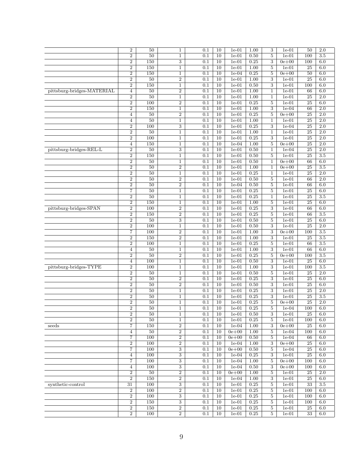|                            | $\boldsymbol{2}$        | 50     | $\mathbf{1}$            | 0.1     | 10              | $1e-01$   | 1.00              | 3                                  | $1e-01$   | 50              | 2.0              |
|----------------------------|-------------------------|--------|-------------------------|---------|-----------------|-----------|-------------------|------------------------------------|-----------|-----------------|------------------|
|                            | $\boldsymbol{2}$        | 50     | $\mathbf{1}$            | 0.1     | 10              | $1e-01$   | 0.50              | $\overline{5}$                     | $1e-01$   | 100             | 3.5              |
|                            | $\boldsymbol{2}$        | 150    | 3                       | 0.1     | 10              | $1e-01$   | 0.25              | $\boldsymbol{3}$                   | $0e + 00$ | 100             | 6.0              |
|                            | $\boldsymbol{2}$        | 150    | $\mathbf{1}$            | 0.1     | 10              | $1e-01$   | 1.00              | 5                                  | $1e-01$   | $\overline{25}$ | 6.0              |
|                            | $\overline{2}$          | 150    | $\mathbf{1}$            | 0.1     | 10              | $1e-04$   | 0.25              | $\bf 5$                            | $0e + 00$ | 50              | 6.0              |
|                            | $\,2$                   | $50\,$ | $\overline{2}$          | 0.1     | 10              | $1e-01$   | $\overline{1.00}$ | 3                                  | $1e-01$   | 25              | 6.0              |
|                            | $\overline{2}$          | 150    | $\mathbf{1}$            | 0.1     | 10              | $1e-01$   | 0.50              | 3                                  | $1e-01$   | 100             | 6.0              |
|                            | $\overline{4}$          | 50     | $\,2$                   | 0.1     | 10              |           |                   |                                    |           |                 | 6.0              |
| pittsburg-bridges-MATERIAL |                         |        |                         |         |                 | $1e-01$   | 1.00              | 1                                  | $1e-01$   | 66              |                  |
|                            | $\,2$                   | 50     | $\mathbf{1}$            | 0.1     | 10              | $1e-01$   | 1.00              | $\mathbf{1}$                       | $1e-01$   | 25              | 2.0              |
|                            | $\overline{2}$          | 100    | $\overline{2}$          | 0.1     | 10              | $1e-01$   | 0.25              | $\overline{5}$                     | $1e-01$   | 25              | 6.0              |
|                            | $\boldsymbol{2}$        | 150    | 1                       | 0.1     | 10              | $1e-01$   | 1.00              | $\boldsymbol{3}$                   | $1e-04$   | 66              | $\overline{2.0}$ |
|                            | 4                       | 50     | $\overline{2}$          | 0.1     | 10              | $1e-01$   | 0.25              | 5                                  | $0e + 00$ | 25              | $\overline{2.0}$ |
|                            | $\overline{4}$          | 50     | $\mathbf{1}$            | 0.1     | 10              | $1e-01$   | 1.00              | $\,1$                              | $1e-01$   | 25              | 2.0              |
|                            | $\overline{2}$          | 100    | $\overline{3}$          | 0.1     | 10              | $1e-01$   | 0.25              | $\boldsymbol{3}$                   | $1e-04$   | $\overline{25}$ | $\overline{2.0}$ |
|                            | $\boldsymbol{2}$        | 50     | 1                       | 0.1     | 10              | $1e-01$   | 1.00              | 1                                  | $1e-01$   | 25              | $\overline{2.0}$ |
|                            | $\sqrt{2}$              | 100    | $\mathbf{1}$            | 0.1     | 10              | $1e-01$   | 0.25              | $\boldsymbol{3}$                   | $1e-01$   | 25              | 2.0              |
|                            | $\overline{4}$          | 150    | $\mathbf{1}$            | 0.1     | 10              | $1e-04$   | $\overline{1.00}$ | $\overline{5}$                     | $0e + 00$ | $\overline{25}$ | 2.0              |
| pittsburg-bridges-REL-L    | $\boldsymbol{2}$        | 50     | $\,3$                   | 0.1     | 10              | $1e-01$   | 0.50              | $\mathbf{1}$                       | $1e-04$   | $\overline{25}$ | $\overline{2.0}$ |
|                            | $\,2$                   | 150    | $\mathbf{1}$            | 0.1     | 10              | $1e-01$   | 0.50              | $\overline{5}$                     | $1e-01$   | 25              | 3.5              |
|                            | $\overline{2}$          | 50     | 1                       | 0.1     | 10              | $1e-01$   | 0.50              | 1                                  | $0e + 00$ | 66              | 6.0              |
|                            | $\overline{2}$          | 50     | $\overline{2}$          | 0.1     | 10              | $1e-01$   | 1.00              | 1                                  | $0e + 00$ | $\overline{25}$ | 3.5              |
|                            | $\,2$                   | 50     | $\mathbf{1}$            | 0.1     | 10              | $1e-01$   | 0.25              | $\mathbf{1}$                       | $1e-01$   | 25              | 2.0              |
|                            | $\,2$                   | 50     | $\,2$                   | 0.1     | 10              | $1e-01$   | 0.50              | 5                                  | $1e-01$   | 66              | $\overline{2.0}$ |
|                            | $\overline{2}$          | 50     | $\overline{2}$          | 0.1     | 10              | $1e-04$   | 0.50              | 5                                  | $1e-01$   | 66              | 6.0              |
|                            | 7                       | 50     | $\mathbf{1}$            | 0.1     | 10              | $1e-01$   | 0.25              | $\bf 5$                            | $1e-01$   | 25              | 6.0              |
|                            | $\,2$                   | 50     | 1                       | 0.1     | 10              | $1e-01$   | 0.25              | 1                                  | $1e-01$   | 25              | 3.5              |
|                            | $\overline{2}$          | 150    | $\mathbf{1}$            | 0.1     | $\overline{10}$ | $1e-01$   | 1.00              | $\bf 5$                            | $1e-01$   | 25              | 6.0              |
| pittsburg-bridges-SPAN     | $\boldsymbol{2}$        | 100    | $\boldsymbol{2}$        | 0.1     | 10              | $1e-01$   | 0.25              | $\boldsymbol{3}$                   | $1e-01$   | 66              | 6.0              |
|                            | $\,2$                   | 150    | $\boldsymbol{2}$        | 0.1     | 10              | $1e-01$   | 0.25              | $\bf 5$                            | $1e-01$   | 66              | 3.5              |
|                            | $\,2$                   | 50     | 3                       | 0.1     | $\overline{10}$ | $1e-01$   | 0.50              | $\bf 5$                            | $1e-01$   | $\overline{25}$ | 6.0              |
|                            | $\boldsymbol{2}$        | 100    | 1                       | 0.1     | 10              | $1e-01$   | 0.50              | 3                                  | $1e-01$   | 25              | $\overline{2.0}$ |
|                            |                         | 100    |                         |         | 10              |           |                   |                                    |           | 100             | 3.5              |
|                            | 7<br>$\overline{2}$     | 150    | $\,2$<br>$\overline{2}$ | 0.1     |                 | $1e-01$   | 1.00              | $\boldsymbol{3}$<br>$\overline{3}$ | $0e + 00$ | 25              | 3.5              |
|                            |                         |        |                         | 0.1     | 10              | $1e-01$   | 1.00              |                                    | $1e-01$   |                 |                  |
|                            | $\boldsymbol{2}$        | 100    | $\mathbf{1}$            | 0.1     | 10              | $1e-01$   | 0.25              | $\bf 5$                            | $1e-01$   | 66              | 3.5              |
|                            | $\overline{4}$          | $50\,$ | $\mathbf{1}$            | 0.1     | 10              | $1e-01$   | 1.00              | 3                                  | $1e-01$   | 66              | $6.0\,$          |
|                            | $\overline{2}$          | 50     | $\overline{2}$          | 0.1     | 10              | $1e-01$   | 0.25              | $\bf 5$                            | $0e + 00$ | 100             | 3.5              |
|                            | $\overline{\mathbf{4}}$ | 100    | $\mathbf{1}$            | 0.1     | 10              | $1e-01$   | 0.50              | 3                                  | $1e-01$   | 25              | 6.0              |
| pittsburg-bridges-TYPE     | $\boldsymbol{2}$        | 100    | $\mathbf{1}$            | 0.1     | 10              | $1e-01$   | 1.00              | 3                                  | $1e-01$   | 100             | $3.5\,$          |
|                            | $\overline{2}$          | 50     | $\mathbf{1}$            | 0.1     | 10              | $1e-01$   | 0.50              | $\bf 5$                            | $1e-01$   | 25              | 2.0              |
|                            | $\,2$                   | 50     | $\boldsymbol{2}$        | 0.1     | 10              | $1e-01$   | 0.25              | 3                                  | $1e-01$   | $\overline{25}$ | 6.0              |
|                            | $\,2$                   | 50     | $\sqrt{2}$              | 0.1     | 10              | $1e-01$   | 0.50              | $\sqrt{3}$                         | $1e-01$   | 25              | 6.0              |
|                            | $\boldsymbol{2}$        | 50     | 1                       | 0.1     | 10              | $1e-01$   | 0.25              | $\,3$                              | $1e-01$   | 25              | $\overline{2.0}$ |
|                            | $\boldsymbol{2}$        | 50     | 1                       | 0.1     | 10              | $1e-01$   | 0.25              | $\boldsymbol{3}$                   | $1e-01$   | $\overline{25}$ | 3.5              |
|                            | $\,2$                   | 50     | $\mathbf{1}$            | 0.1     | 10              | $1e-01$   | 0.25              | $\bf 5$                            | $0e + 00$ | 25              | 2.0              |
|                            | $\overline{2}$          | 50     | 1                       | 0.1     | 10              | $1e-01$   | 0.25              | 5                                  | $1e-04$   | 100             | 6.0              |
|                            | $\overline{2}$          | 50     | 1                       | 0.1     | 10              | $1e-01$   | 0.50              | 3                                  | $1e-01$   | 25              | 6.0              |
|                            | $\overline{2}$          | 50     | $\mathbf{1}$            | 0.1     | 10              | $1e-01$   | 0.25              | $\overline{5}$                     | $1e-01$   | 100             | 6.0              |
| seeds                      | 7                       | 150    | $\overline{2}$          | 0.1     | 10              | $1e-04$   | 1.00              | 3                                  | $0e + 00$ | 25              | 6.0              |
|                            | $\overline{4}$          | 50     | $\overline{2}$          | 0.1     | 10              | $0e + 00$ | 1.00              | 5                                  | $1e-04$   | 100             | 6.0              |
|                            | 7                       | 100    | $\overline{2}$          | 0.1     | 10              | $0e + 00$ | 0.50              | $\overline{5}$                     | $1e-04$   | 66              | 6.0              |
|                            | $\sqrt{2}$              | 100    | $\sqrt{2}$              | 0.1     | 10              | $1e-04$   | 1.00              | 3                                  | $0e + 00$ | 25              | 6.0              |
|                            | $\overline{7}$          | 100    | $\overline{3}$          | 0.1     | $\overline{10}$ | $0e + 00$ | 0.50              | $5\,$                              | $1e-04$   | $\overline{25}$ | 6.0              |
|                            | $\overline{4}$          | 100    | $\overline{3}$          | 0.1     | 10              | $1e-04$   | 0.25              | 3                                  | $1e-01$   | $\overline{25}$ | 6.0              |
|                            | 7                       | 100    | 3                       | 0.1     | 10              | $1e-04$   | 1.00              | $\overline{5}$                     | $0e + 00$ | 100             | 6.0              |
|                            | $\overline{4}$          | 100    | $\overline{3}$          | 0.1     | 10              | $1e-04$   | 0.50              | $\overline{3}$                     | $0e + 00$ | 100             | 6.0              |
|                            | $\boldsymbol{2}$        | 50     | $\overline{2}$          | 0.1     | 10              | $0e + 00$ | 1.00              | $\bf 5$                            | $1e-01$   | 25              | $\overline{2.0}$ |
|                            | $\overline{2}$          | 150    | $\,2$                   | 0.1     | 10              | $1e-04$   | 1.00              | 3                                  | $1e-01$   | 25              | 6.0              |
| synthetic-control          | 31                      | 100    | $\overline{3}$          | 0.1     | 10              | $1e-01$   | 0.25              | $\overline{5}$                     | $1e-01$   | $\overline{33}$ | 3.5              |
|                            | $\overline{2}$          | 100    | $\overline{2}$          | 0.1     | 10              | $1e-01$   | 0.25              | $\overline{5}$                     | $1e-01$   | 100             | 6.0              |
|                            | $\boldsymbol{2}$        | 100    | 3                       | $0.1\,$ | 10              | $1e-01$   | 0.25              | $\overline{5}$                     | $1e-01$   | 100             | 6.0              |
|                            | $\overline{2}$          | 150    | $\overline{3}$          | 0.1     | 10              | $1e-01$   | 0.25              | $\overline{5}$                     | $1e-01$   | 100             | 6.0              |
|                            |                         |        |                         |         |                 |           |                   |                                    |           |                 |                  |
|                            | $\overline{2}$          | 150    | $\overline{2}$          | 0.1     | 10              | $1e-01$   | 0.25              | $\overline{5}$                     | $1e-01$   | 25              | 6.0              |
|                            | $\boldsymbol{2}$        | 100    | $\overline{2}$          | 0.1     | 10              | $1e-01$   | 0.25              | $\overline{5}$                     | $1e-01$   | 33              | 6.0              |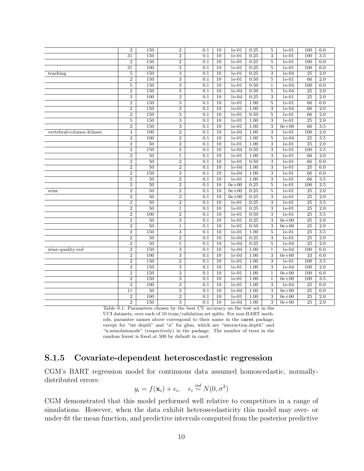|                          | $\overline{2}$          | 150             | $\overline{2}$ | 0.1              | 10              | $1e-01$   | 0.25              | $\overline{5}$ | $1e-01$   | 100              | 6.0              |
|--------------------------|-------------------------|-----------------|----------------|------------------|-----------------|-----------|-------------------|----------------|-----------|------------------|------------------|
|                          | 31                      | 150             | $\overline{2}$ | 0.1              | 10              | $1e-01$   | 0.25              | $\overline{3}$ | $1e-01$   | 100              | $\overline{3.5}$ |
|                          | $\overline{2}$          | 150             | $\,2$          | $\overline{0.1}$ | $\overline{10}$ | $1e-01$   | 0.25              | 5              | $1e-01$   | $\overline{100}$ | 6.0              |
|                          | $\overline{31}$         | 100             | $\overline{3}$ | 0.1              | $\overline{10}$ | $1e-01$   | 0.25              | $\overline{5}$ | $1e-01$   | 100              | 6.0              |
| teaching                 | $\overline{5}$          | 150             | $\overline{3}$ | 0.1              | $\overline{10}$ | $1e-01$   | 0.25              | $\overline{3}$ | $1e-04$   | 25               | $\overline{2.0}$ |
|                          | $\overline{2}$          | 150             | 3              | $\overline{0.1}$ | $\overline{10}$ | $1e-01$   | 0.50              | 5              | $1e-01$   | 66               | $\overline{2.0}$ |
|                          | $\overline{5}$          | 150             | $\overline{3}$ | 0.1              | 10              | $1e-01$   | 0.50              | $\mathbf{1}$   | $1e-04$   | 100              | 6.0              |
|                          | $\overline{2}$          | 150             | $\overline{3}$ | 0.1              | $\overline{10}$ | $1e-04$   | 0.50              | $\overline{5}$ | $1e-04$   | 25               | $\overline{2.0}$ |
|                          | 3                       | 100             | $\overline{2}$ | $\overline{0.1}$ | $\overline{10}$ | $1e-04$   | 0.25              | $\overline{3}$ | $1e-01$   | 25               | $\overline{2.0}$ |
|                          | $\overline{2}$          | 150             | $\overline{3}$ | 0.1              | 10              | $1e-01$   | 1.00              | $\overline{5}$ | $1e-01$   | 66               | 6.0              |
|                          | $\overline{2}$          | 150             | $\overline{3}$ | 0.1              | $\overline{10}$ | $1e-01$   | 1.00              | $\overline{3}$ | $1e-04$   | 66               | $\overline{2.0}$ |
|                          | $\overline{2}$          | 150             | $\overline{3}$ | $\overline{0.1}$ | $\overline{10}$ | $1e-01$   | 0.50              | $\overline{5}$ | $1e-01$   | 66               | $\overline{2.0}$ |
|                          | $\overline{\mathbf{5}}$ | 150             | $\overline{3}$ | 0.1              | 10              | $1e-01$   | 1.00              | $\overline{3}$ | $1e-01$   | 25               | 2.0              |
|                          | $\overline{2}$          | 150             | $\overline{3}$ | 0.1              | $\overline{10}$ | $1e-01$   | 1.00              | $\overline{3}$ | $0e + 00$ | 66               | $\overline{3.5}$ |
| vertebral-column-3clases | $\overline{4}$          | 100             | $\overline{2}$ | $\overline{0.1}$ | $\overline{10}$ | $1e-04$   | 1.00              | $\overline{3}$ | $1e-01$   | 100              | $\overline{2.0}$ |
|                          | $\sqrt{2}$              | 100             | $\overline{2}$ | 0.1              | 10              | $1e-01$   | 1.00              | $\overline{5}$ | $1e-04$   | 25               | 3.5              |
|                          | $\overline{2}$          | 50              | $\overline{2}$ | $\overline{0.1}$ | $\overline{10}$ | $1e-01$   | $\overline{1.00}$ | $\overline{3}$ | $1e-01$   | $\overline{25}$  | $\overline{2.0}$ |
|                          | $\overline{2}$          | 150             | $\overline{3}$ | 0.1              | $\overline{10}$ | $1e-04$   | 0.50              | $\overline{3}$ | $1e-01$   | 100              | $\overline{3.5}$ |
|                          | $\boldsymbol{2}$        | 50              | $\mathbf{1}$   | $\overline{0.1}$ | 10              | $1e-01$   | 1.00              | 3              | $1e-01$   | 66               | 2.0              |
|                          | $\overline{2}$          | 50              | $\overline{2}$ | 0.1              | $\overline{10}$ | $1e-01$   | 0.50              | $\overline{3}$ | $1e-01$   | 66               | 6.0              |
|                          | $\overline{2}$          | $\overline{50}$ | $\overline{2}$ | 0.1              | 10              | $1e-04$   | 1.00              | $\overline{3}$ | $1e-01$   | $\overline{25}$  | 6.0              |
|                          | $\overline{2}$          | 150             | $\,3$          | 0.1              | $\overline{10}$ | $1e-04$   | 1.00              | $\overline{3}$ | $1e-01$   | 66               | 6.0              |
|                          | $\overline{2}$          | 50              | $\overline{2}$ | 0.1              | $\overline{10}$ | $1e-01$   | 1.00              | $\overline{3}$ | $1e-01$   | 66               | 3.5              |
|                          | $\overline{2}$          | $\overline{50}$ | $\overline{2}$ | 0.1              | $\overline{10}$ | $0e + 00$ | 0.25              | $\overline{5}$ | $1e-01$   | 100              | $\overline{3.5}$ |
| wine                     | $\overline{2}$          | 50              | $\,2$          | 0.1              | $\overline{10}$ | $0e + 00$ | 0.25              | $\bf 5$        | $1e-01$   | 25               | $\overline{2.0}$ |
|                          | $\overline{2}$          | 50              | $\overline{3}$ | 0.1              | $\overline{10}$ | $0e + 00$ | 0.25              | $\overline{3}$ | $1e-01$   | 25               | 2.0              |
|                          | $\overline{2}$          | 50              | $\overline{2}$ | 0.1              | $\overline{10}$ | $1e-01$   | 0.25              | $\overline{3}$ | $1e-01$   | $\overline{25}$  | $\overline{3.5}$ |
|                          | $\overline{2}$          | $\overline{50}$ | $\mathbf{1}$   | 0.1              | $\overline{10}$ | $1e-01$   | 0.25              | $\overline{3}$ | $1e-01$   | $\overline{25}$  | $\overline{2.0}$ |
|                          | $\overline{2}$          | 100             | $\overline{2}$ | 0.1              | 10              | $1e-01$   | 0.50              | $\overline{3}$ | $1e-01$   | 25               | 3.5              |
|                          | $\overline{2}$          | 50              | $\overline{3}$ | 0.1              | $\overline{10}$ | $1e-01$   | 0.25              | $\overline{3}$ | $0e + 00$ | $\overline{25}$  | $\overline{2.0}$ |
|                          | $\overline{2}$          | $\overline{50}$ | 1              | 0.1              | $\overline{10}$ | $1e-01$   | 0.50              | $\overline{3}$ | $0e + 00$ | $\overline{25}$  | $\overline{2.0}$ |
|                          | $\overline{2}$          | 150             | $\overline{3}$ | 0.1              | 10              | $1e-01$   | 1.00              | $\overline{5}$ | $1e-01$   | 25               | 3.5              |
|                          | $\overline{2}$          | 50              | $\overline{2}$ | 0.1              | $\overline{10}$ | $1e-04$   | 0.25              | $\overline{3}$ | $1e-01$   | $\overline{25}$  | $\overline{2.0}$ |
|                          | $\overline{2}$          | $\overline{50}$ | $\overline{1}$ | 0.1              | $\overline{10}$ | $1e-04$   | 0.25              | $\overline{5}$ | $1e-04$   | $\overline{25}$  | $\overline{2.0}$ |
| wine-quality-red         | $\overline{2}$          | 150             | $\sqrt{3}$     | $\overline{0.1}$ | $\overline{10}$ | $1e-04$   | 1.00              | $\,1\,$        | $1e-04$   | 100              | 6.0              |
|                          | $\overline{2}$          | 100             | $\overline{3}$ | $\overline{0.1}$ | $\overline{10}$ | $1e-04$   | $\overline{1.00}$ | 3              | $0e + 00$ | $\overline{33}$  | 6.0              |
|                          | $\overline{2}$          | 150             | $\overline{2}$ | 0.1              | $\overline{10}$ | $1e-01$   | 1.00              | $\overline{3}$ | $1e-01$   | 100              | $\overline{3.5}$ |
|                          | $\overline{2}$          | 150             | $\,3$          | 0.1              | $\overline{10}$ | $1e-01$   | 1.00              | $\overline{3}$ | $1e-04$   | 100              | 2.0              |
|                          | $\overline{2}$          | 150             | $\overline{3}$ | $\overline{0.1}$ | $\overline{10}$ | $1e-01$   | 1.00              | $\mathbf{1}$   | $0e + 00$ | 100              | 6.0              |
|                          | $\overline{2}$          | 150             | $\overline{3}$ | 0.1              | $\overline{10}$ | $1e-01$   | 1.00              | $1\,$          | $0e + 00$ | 100              | 3.5              |
|                          | $\overline{2}$          | 100             | $\overline{3}$ | 0.1              | $\overline{10}$ | $1e-01$   | 1.00              | $\overline{3}$ | $1e-04$   | 25               | 6.0              |
|                          | 11                      | 50              | $\overline{3}$ | 0.1              | 10              | $1e-04$   | 1.00              | 3              | $0e + 00$ | $\overline{25}$  | 6.0              |
|                          | $\overline{2}$          | 100             | $\overline{2}$ | 0.1              | $\overline{10}$ | $1e-01$   | $\overline{1.00}$ | $\overline{3}$ | $0e + 00$ | $\overline{25}$  | $\overline{2.0}$ |
|                          | $\overline{2}$          | 150             | 3              | $\overline{0.1}$ | $\overline{10}$ | $1e-04$   | 1.00              | 3              | $0e + 00$ | $\overline{25}$  | 2.0              |

Table S.1: Parameters chosen by the best CV accuracy on the test set in the

UCI datasets, over each of 10 train/validation set splits. For non-BART methods, paramter names above correspond to their name in the caret package, except for "int depth" and "n" for gbm, which are "interaction.depth" and "n.minobsinnode" (respectively) in the package. The number of trees in the random forest is fixed at 500 by default in caret.

### S.1.5 Covariate-dependent heteroscedastic regression

CGM's BART regression model for continuous data assumed homoscedastic, normallydistributed errors:

$$
y_i = f(\mathbf{x}_i) + \epsilon_i, \quad \epsilon_i \stackrel{iid}{\sim} N(0, \sigma^2)
$$

CGM demonstrated that this model performed well relative to competitors in a range of simulations. However, when the data exhibit heteroscedasticity this model may over- or under-fit the mean function, and predictive intervals computed from the posterior predictive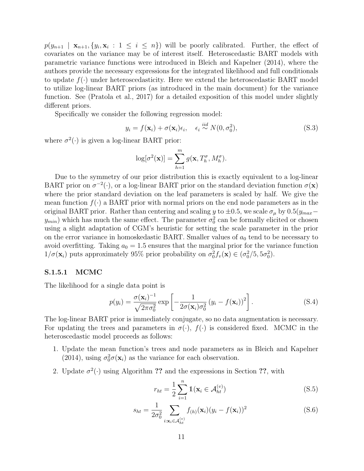$p(y_{n+1} | \mathbf{x}_{n+1}, \{y_i, \mathbf{x}_i : 1 \le i \le n\})$  will be poorly calibrated. Further, the effect of covariates on the variance may be of interest itself. Heteroscedastic BART models with parametric variance functions were introduced in Bleich and Kapelner (2014), where the authors provide the necessary expressions for the integrated likelihood and full conditionals to update  $f(\cdot)$  under heteroscedasticity. Here we extend the heteroscedastic BART model to utilize log-linear BART priors (as introduced in the main document) for the variance function. See (Pratola et al., 2017) for a detailed exposition of this model under slightly different priors.

Specifically we consider the following regression model:

$$
y_i = f(\mathbf{x}_i) + \sigma(\mathbf{x}_i)\epsilon_i, \quad \epsilon_i \stackrel{iid}{\sim} N(0, \sigma_0^2), \tag{S.3}
$$

where  $\sigma^2(\cdot)$  is given a log-linear BART prior:

$$
\log[\sigma^2(\mathbf{x})] = \sum_{h=1}^m g(\mathbf{x}, T_h^{\sigma}, M_h^{\sigma}).
$$

Due to the symmetry of our prior distribution this is exactly equivalent to a log-linear BART prior on  $\sigma^{-2}(\cdot)$ , or a log-linear BART prior on the standard deviation function  $\sigma(\mathbf{x})$ where the prior standard deviation on the leaf parameters is scaled by half. We give the mean function  $f(\cdot)$  a BART prior with normal priors on the end node parameters as in the original BART prior. Rather than centering and scaling y to  $\pm 0.5$ , we scale  $\sigma_{\mu}$  by  $0.5(y_{max}$  $y_{min}$ ) which has much the same effect. The parameter  $\sigma_0^2$  can be formally elicited or chosen using a slight adaptation of CGM's heuristic for setting the scale parameter in the prior on the error variance in homoskedastic BART. Smaller values of  $a_0$  tend to be necessary to avoid overfitting. Taking  $a_0 = 1.5$  ensures that the marginal prior for the variance function  $1/\sigma(\mathbf{x}_i)$  puts approximately 95% prior probability on  $\sigma_0^2 f_v(\mathbf{x}) \in (\sigma_0^2/5, 5\sigma_0^2)$ .

#### S.1.5.1 MCMC

The likelihood for a single data point is

$$
p(y_i) = \frac{\sigma(\mathbf{x}_i)^{-1}}{\sqrt{2\pi\sigma_0^2}} \exp\left[-\frac{1}{2\sigma(\mathbf{x}_i)\sigma_0^2} (y_i - f(\mathbf{x}_i))^2\right].
$$
 (S.4)

The log-linear BART prior is immediately conjugate, so no data augmentation is necessary. For updating the trees and parameters in  $\sigma(\cdot)$ ,  $f(\cdot)$  is considered fixed. MCMC in the heteroscedastic model proceeds as follows:

- 1. Update the mean function's trees and node parameters as in Bleich and Kapelner (2014), using  $\sigma_0^2 \sigma(\mathbf{x}_i)$  as the variance for each observation.
- 2. Update  $\sigma^2(\cdot)$  using Algorithm ?? and the expressions in Section ??, with

$$
r_{ht} = \frac{1}{2} \sum_{i=1}^{n} \mathbb{1}(\mathbf{x}_i \in \mathcal{A}_{ht}^{(v)})
$$
\n(S.5)

$$
s_{ht} = \frac{1}{2\sigma_0^2} \sum_{i:\mathbf{x}_i \in \mathcal{A}_{ht}^{(v)}} f_{(h)}(\mathbf{x}_i) (y_i - f(\mathbf{x}_i))^2
$$
(S.6)